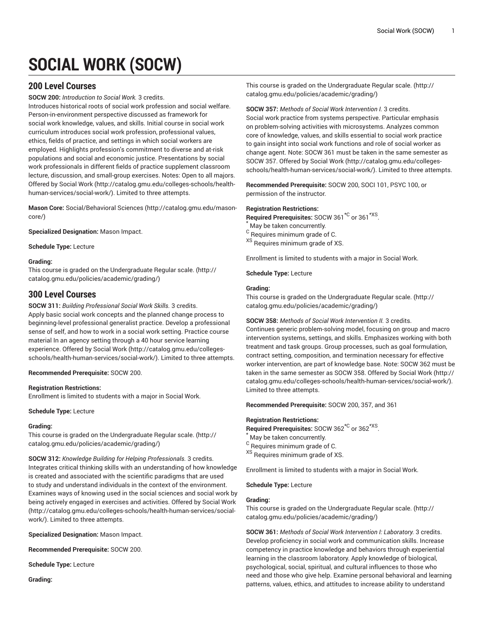# **SOCIAL WORK (SOCW)**

# **200 Level Courses**

**SOCW 200:** *Introduction to Social Work.* 3 credits.

Introduces historical roots of social work profession and social welfare. Person-in-environment perspective discussed as framework for social work knowledge, values, and skills. Initial course in social work curriculum introduces social work profession, professional values, ethics, fields of practice, and settings in which social workers are employed. Highlights profession's commitment to diverse and at-risk populations and social and economic justice. Presentations by social work professionals in different fields of practice supplement classroom lecture, discussion, and small-group exercises. Notes: Open to all majors. Offered by [Social](http://catalog.gmu.edu/colleges-schools/health-human-services/social-work/) Work [\(http://catalog.gmu.edu/colleges-schools/health](http://catalog.gmu.edu/colleges-schools/health-human-services/social-work/)[human-services/social-work/\)](http://catalog.gmu.edu/colleges-schools/health-human-services/social-work/). Limited to three attempts.

**Mason Core:** [Social/Behavioral](http://catalog.gmu.edu/mason-core/) Sciences ([http://catalog.gmu.edu/mason](http://catalog.gmu.edu/mason-core/)[core/\)](http://catalog.gmu.edu/mason-core/)

**Specialized Designation:** Mason Impact.

**Schedule Type:** Lecture

## **Grading:**

This course is graded on the [Undergraduate](http://catalog.gmu.edu/policies/academic/grading/) Regular scale. ([http://](http://catalog.gmu.edu/policies/academic/grading/) [catalog.gmu.edu/policies/academic/grading/\)](http://catalog.gmu.edu/policies/academic/grading/)

# **300 Level Courses**

**SOCW 311:** *Building Professional Social Work Skills.* 3 credits. Apply basic social work concepts and the planned change process to beginning-level professional generalist practice. Develop a professional sense of self, and how to work in a social work setting. Practice course material In an agency setting through a 40 hour service learning experience. Offered by [Social](http://catalog.gmu.edu/colleges-schools/health-human-services/social-work/) Work [\(http://catalog.gmu.edu/colleges](http://catalog.gmu.edu/colleges-schools/health-human-services/social-work/)[schools/health-human-services/social-work/\)](http://catalog.gmu.edu/colleges-schools/health-human-services/social-work/). Limited to three attempts.

**Recommended Prerequisite:** SOCW 200.

## **Registration Restrictions:**

Enrollment is limited to students with a major in Social Work.

**Schedule Type:** Lecture

## **Grading:**

This course is graded on the [Undergraduate](http://catalog.gmu.edu/policies/academic/grading/) Regular scale. ([http://](http://catalog.gmu.edu/policies/academic/grading/) [catalog.gmu.edu/policies/academic/grading/\)](http://catalog.gmu.edu/policies/academic/grading/)

**SOCW 312:** *Knowledge Building for Helping Professionals.* 3 credits. Integrates critical thinking skills with an understanding of how knowledge is created and associated with the scientific paradigms that are used to study and understand individuals in the context of the environment. Examines ways of knowing used in the social sciences and social work by being actively engaged in exercises and activities. Offered by [Social](http://catalog.gmu.edu/colleges-schools/health-human-services/social-work/) Work ([http://catalog.gmu.edu/colleges-schools/health-human-services/social](http://catalog.gmu.edu/colleges-schools/health-human-services/social-work/)[work/\)](http://catalog.gmu.edu/colleges-schools/health-human-services/social-work/). Limited to three attempts.

**Specialized Designation:** Mason Impact.

**Recommended Prerequisite:** SOCW 200.

**Schedule Type:** Lecture

**Grading:**

This course is graded on the [Undergraduate](http://catalog.gmu.edu/policies/academic/grading/) Regular scale. ([http://](http://catalog.gmu.edu/policies/academic/grading/) [catalog.gmu.edu/policies/academic/grading/](http://catalog.gmu.edu/policies/academic/grading/))

## **SOCW 357:** *Methods of Social Work Intervention I.* 3 credits.

Social work practice from systems perspective. Particular emphasis on problem-solving activities with microsystems. Analyzes common core of knowledge, values, and skills essential to social work practice to gain insight into social work functions and role of social worker as change agent. Note: SOCW 361 must be taken in the same semester as SOCW 357. Offered by [Social](http://catalog.gmu.edu/colleges-schools/health-human-services/social-work/) Work ([http://catalog.gmu.edu/colleges](http://catalog.gmu.edu/colleges-schools/health-human-services/social-work/)[schools/health-human-services/social-work/](http://catalog.gmu.edu/colleges-schools/health-human-services/social-work/)). Limited to three attempts.

**Recommended Prerequisite:** SOCW 200, SOCI 101, PSYC 100, or permission of the instructor.

## **Registration Restrictions:**

Required Prerequisites: SOCW 361<sup>\*C</sup> or 361<sup>\*XS</sup>.

May be taken concurrently.

 $^{\rm C}$  Requires minimum grade of C.

XS Requires minimum grade of XS.

Enrollment is limited to students with a major in Social Work.

**Schedule Type:** Lecture

#### **Grading:**

This course is graded on the [Undergraduate](http://catalog.gmu.edu/policies/academic/grading/) Regular scale. ([http://](http://catalog.gmu.edu/policies/academic/grading/) [catalog.gmu.edu/policies/academic/grading/](http://catalog.gmu.edu/policies/academic/grading/))

**SOCW 358:** *Methods of Social Work Intervention II.* 3 credits.

Continues generic problem-solving model, focusing on group and macro intervention systems, settings, and skills. Emphasizes working with both treatment and task groups. Group processes, such as goal formulation, contract setting, composition, and termination necessary for effective worker intervention, are part of knowledge base. Note: SOCW 362 must be taken in the same semester as SOCW 358. Offered by [Social](http://catalog.gmu.edu/colleges-schools/health-human-services/social-work/) Work [\(http://](http://catalog.gmu.edu/colleges-schools/health-human-services/social-work/) [catalog.gmu.edu/colleges-schools/health-human-services/social-work/](http://catalog.gmu.edu/colleges-schools/health-human-services/social-work/)). Limited to three attempts.

**Recommended Prerequisite:** SOCW 200, 357, and 361

## **Registration Restrictions:**

Required Prerequisites: SOCW 362<sup>\*C</sup> or 362<sup>\*XS</sup>.

- May be taken concurrently.
- <sup>C</sup> Requires minimum grade of C.
- XS Requires minimum grade of XS.

Enrollment is limited to students with a major in Social Work.

**Schedule Type:** Lecture

## **Grading:**

This course is graded on the [Undergraduate](http://catalog.gmu.edu/policies/academic/grading/) Regular scale. ([http://](http://catalog.gmu.edu/policies/academic/grading/) [catalog.gmu.edu/policies/academic/grading/](http://catalog.gmu.edu/policies/academic/grading/))

**SOCW 361:** *Methods of Social Work Intervention I: Laboratory.* 3 credits. Develop proficiency in social work and communication skills. Increase competency in practice knowledge and behaviors through experiential learning in the classroom laboratory. Apply knowledge of biological, psychological, social, spiritual, and cultural influences to those who need and those who give help. Examine personal behavioral and learning patterns, values, ethics, and attitudes to increase ability to understand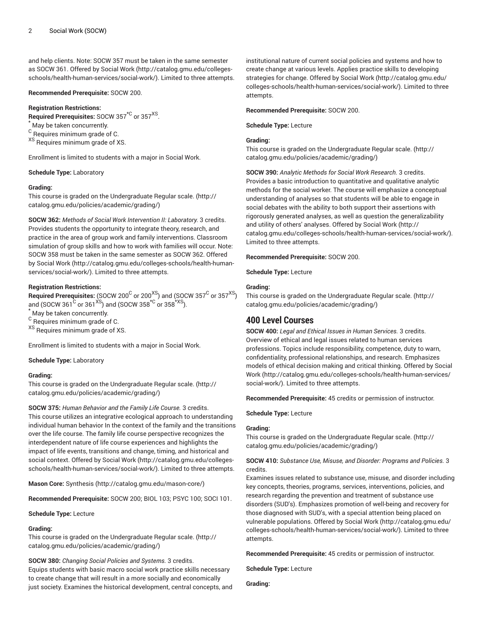and help clients. Note: SOCW 357 must be taken in the same semester as SOCW 361. Offered by [Social](http://catalog.gmu.edu/colleges-schools/health-human-services/social-work/) Work ([http://catalog.gmu.edu/colleges](http://catalog.gmu.edu/colleges-schools/health-human-services/social-work/)[schools/health-human-services/social-work/\)](http://catalog.gmu.edu/colleges-schools/health-human-services/social-work/). Limited to three attempts.

**Recommended Prerequisite:** SOCW 200.

## **Registration Restrictions:**

**Required Prerequisites:** SOCW 357\*C or 357XS .

May be taken concurrently.

 $^{\rm C}$  Requires minimum grade of C.

XS Requires minimum grade of XS.

Enrollment is limited to students with a major in Social Work.

#### **Schedule Type:** Laboratory

#### **Grading:**

This course is graded on the [Undergraduate](http://catalog.gmu.edu/policies/academic/grading/) Regular scale. ([http://](http://catalog.gmu.edu/policies/academic/grading/) [catalog.gmu.edu/policies/academic/grading/\)](http://catalog.gmu.edu/policies/academic/grading/)

**SOCW 362:** *Methods of Social Work Intervention II: Laboratory.* 3 credits. Provides students the opportunity to integrate theory, research, and practice in the area of group work and family interventions. Classroom simulation of group skills and how to work with families will occur. Note: SOCW 358 must be taken in the same semester as SOCW 362. Offered by [Social](http://catalog.gmu.edu/colleges-schools/health-human-services/social-work/) Work ([http://catalog.gmu.edu/colleges-schools/health-human](http://catalog.gmu.edu/colleges-schools/health-human-services/social-work/)[services/social-work/](http://catalog.gmu.edu/colleges-schools/health-human-services/social-work/)). Limited to three attempts.

## **Registration Restrictions:**

 $\bf{Required\ Pre requires:}$  (SOCW 200 $^{\rm C}$  or 200 $^{\rm XS}$ ) and (SOCW 357 $^{\rm C}$  or 357 $^{\rm XS}$ ) and (SOCW 361  $^{\mathrm{C}}$  or 361  $^{\mathrm{XS}}$ ) and (SOCW 358  $^{\mathrm{*C}}$  or 358  $^{\mathrm{*XS}}$ ).

May be taken concurrently.

<sup>C</sup> Requires minimum grade of C.

<sup>XS</sup> Requires minimum grade of XS.

Enrollment is limited to students with a major in Social Work.

**Schedule Type:** Laboratory

## **Grading:**

This course is graded on the [Undergraduate](http://catalog.gmu.edu/policies/academic/grading/) Regular scale. ([http://](http://catalog.gmu.edu/policies/academic/grading/) [catalog.gmu.edu/policies/academic/grading/\)](http://catalog.gmu.edu/policies/academic/grading/)

**SOCW 375:** *Human Behavior and the Family Life Course.* 3 credits. This course utilizes an integrative ecological approach to understanding individual human behavior In the context of the family and the transitions over the life course. The family life course perspective recognizes the interdependent nature of life course experiences and highlights the impact of life events, transitions and change, timing, and historical and social context. Offered by [Social](http://catalog.gmu.edu/colleges-schools/health-human-services/social-work/) Work ([http://catalog.gmu.edu/colleges](http://catalog.gmu.edu/colleges-schools/health-human-services/social-work/)[schools/health-human-services/social-work/\)](http://catalog.gmu.edu/colleges-schools/health-human-services/social-work/). Limited to three attempts.

**Mason Core:** [Synthesis \(http://catalog.gmu.edu/mason-core/](http://catalog.gmu.edu/mason-core/))

**Recommended Prerequisite:** SOCW 200; BIOL 103; PSYC 100; SOCI 101.

## **Schedule Type:** Lecture

## **Grading:**

This course is graded on the [Undergraduate](http://catalog.gmu.edu/policies/academic/grading/) Regular scale. ([http://](http://catalog.gmu.edu/policies/academic/grading/) [catalog.gmu.edu/policies/academic/grading/\)](http://catalog.gmu.edu/policies/academic/grading/)

**SOCW 380:** *Changing Social Policies and Systems.* 3 credits. Equips students with basic macro social work practice skills necessary to create change that will result in a more socially and economically just society. Examines the historical development, central concepts, and institutional nature of current social policies and systems and how to create change at various levels. Applies practice skills to developing strategies for change. Offered by [Social](http://catalog.gmu.edu/colleges-schools/health-human-services/social-work/) Work [\(http://catalog.gmu.edu/](http://catalog.gmu.edu/colleges-schools/health-human-services/social-work/) [colleges-schools/health-human-services/social-work/](http://catalog.gmu.edu/colleges-schools/health-human-services/social-work/)). Limited to three attempts.

#### **Recommended Prerequisite:** SOCW 200.

**Schedule Type:** Lecture

## **Grading:**

This course is graded on the [Undergraduate](http://catalog.gmu.edu/policies/academic/grading/) Regular scale. ([http://](http://catalog.gmu.edu/policies/academic/grading/) [catalog.gmu.edu/policies/academic/grading/](http://catalog.gmu.edu/policies/academic/grading/))

**SOCW 390:** *Analytic Methods for Social Work Research.* 3 credits. Provides a basic introduction to quantitative and qualitative analytic methods for the social worker. The course will emphasize a conceptual understanding of analyses so that students will be able to engage in social debates with the ability to both support their assertions with rigorously generated analyses, as well as question the generalizability and utility of others' analyses. Offered by [Social](http://catalog.gmu.edu/colleges-schools/health-human-services/social-work/) Work ([http://](http://catalog.gmu.edu/colleges-schools/health-human-services/social-work/) [catalog.gmu.edu/colleges-schools/health-human-services/social-work/](http://catalog.gmu.edu/colleges-schools/health-human-services/social-work/)). Limited to three attempts.

## **Recommended Prerequisite:** SOCW 200.

**Schedule Type:** Lecture

## **Grading:**

This course is graded on the [Undergraduate](http://catalog.gmu.edu/policies/academic/grading/) Regular scale. ([http://](http://catalog.gmu.edu/policies/academic/grading/) [catalog.gmu.edu/policies/academic/grading/](http://catalog.gmu.edu/policies/academic/grading/))

# **400 Level Courses**

**SOCW 400:** *Legal and Ethical Issues in Human Services.* 3 credits. Overview of ethical and legal issues related to human services professions. Topics include responsibility, competence, duty to warn, confidentiality, professional relationships, and research. Emphasizes models of ethical decision making and critical thinking. Offered by [Social](http://catalog.gmu.edu/colleges-schools/health-human-services/social-work/) [Work \(http://catalog.gmu.edu/colleges-schools/health-human-services/](http://catalog.gmu.edu/colleges-schools/health-human-services/social-work/) [social-work/\)](http://catalog.gmu.edu/colleges-schools/health-human-services/social-work/). Limited to three attempts.

**Recommended Prerequisite:** 45 credits or permission of instructor.

**Schedule Type:** Lecture

## **Grading:**

This course is graded on the [Undergraduate](http://catalog.gmu.edu/policies/academic/grading/) Regular scale. ([http://](http://catalog.gmu.edu/policies/academic/grading/) [catalog.gmu.edu/policies/academic/grading/](http://catalog.gmu.edu/policies/academic/grading/))

## **SOCW 410:** *Substance Use, Misuse, and Disorder: Programs and Policies.* 3 credits.

Examines issues related to substance use, misuse, and disorder including key concepts, theories, programs, services, interventions, policies, and research regarding the prevention and treatment of substance use disorders (SUD's). Emphasizes promotion of well-being and recovery for those diagnosed with SUD's, with a special attention being placed on vulnerable populations. Offered by [Social](http://catalog.gmu.edu/colleges-schools/health-human-services/social-work/) Work [\(http://catalog.gmu.edu/](http://catalog.gmu.edu/colleges-schools/health-human-services/social-work/) [colleges-schools/health-human-services/social-work/](http://catalog.gmu.edu/colleges-schools/health-human-services/social-work/)). Limited to three attempts.

**Recommended Prerequisite:** 45 credits or permission of instructor.

**Schedule Type:** Lecture

**Grading:**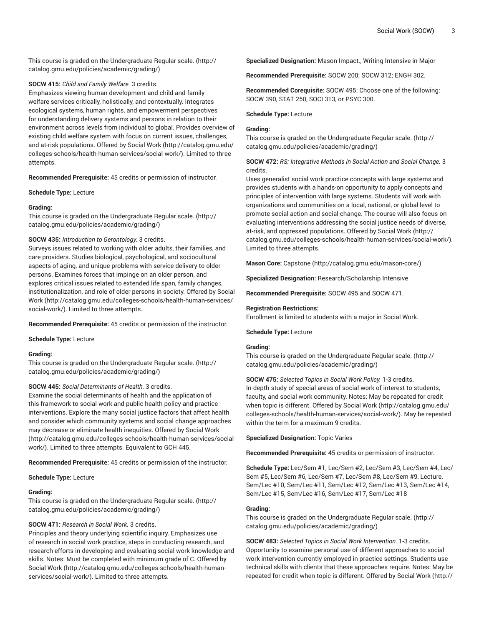This course is graded on the [Undergraduate](http://catalog.gmu.edu/policies/academic/grading/) Regular scale. ([http://](http://catalog.gmu.edu/policies/academic/grading/) [catalog.gmu.edu/policies/academic/grading/\)](http://catalog.gmu.edu/policies/academic/grading/)

## **SOCW 415:** *Child and Family Welfare.* 3 credits.

Emphasizes viewing human development and child and family welfare services critically, holistically, and contextually. Integrates ecological systems, human rights, and empowerment perspectives for understanding delivery systems and persons in relation to their environment across levels from individual to global. Provides overview of existing child welfare system with focus on current issues, challenges, and at-risk populations. Offered by [Social](http://catalog.gmu.edu/colleges-schools/health-human-services/social-work/) Work ([http://catalog.gmu.edu/](http://catalog.gmu.edu/colleges-schools/health-human-services/social-work/) [colleges-schools/health-human-services/social-work/](http://catalog.gmu.edu/colleges-schools/health-human-services/social-work/)). Limited to three attempts.

**Recommended Prerequisite:** 45 credits or permission of instructor.

**Schedule Type:** Lecture

## **Grading:**

This course is graded on the [Undergraduate](http://catalog.gmu.edu/policies/academic/grading/) Regular scale. ([http://](http://catalog.gmu.edu/policies/academic/grading/) [catalog.gmu.edu/policies/academic/grading/\)](http://catalog.gmu.edu/policies/academic/grading/)

## **SOCW 435:** *Introduction to Gerontology.* 3 credits.

Surveys issues related to working with older adults, their families, and care providers. Studies biological, psychological, and sociocultural aspects of aging, and unique problems with service delivery to older persons. Examines forces that impinge on an older person, and explores critical issues related to extended life span, family changes, institutionalization, and role of older persons in society. Offered by [Social](http://catalog.gmu.edu/colleges-schools/health-human-services/social-work/) [Work](http://catalog.gmu.edu/colleges-schools/health-human-services/social-work/) ([http://catalog.gmu.edu/colleges-schools/health-human-services/](http://catalog.gmu.edu/colleges-schools/health-human-services/social-work/) [social-work/](http://catalog.gmu.edu/colleges-schools/health-human-services/social-work/)). Limited to three attempts.

**Recommended Prerequisite:** 45 credits or permission of the instructor.

**Schedule Type:** Lecture

## **Grading:**

This course is graded on the [Undergraduate](http://catalog.gmu.edu/policies/academic/grading/) Regular scale. ([http://](http://catalog.gmu.edu/policies/academic/grading/) [catalog.gmu.edu/policies/academic/grading/\)](http://catalog.gmu.edu/policies/academic/grading/)

## **SOCW 445:** *Social Determinants of Health.* 3 credits.

Examine the social determinants of health and the application of this framework to social work and public health policy and practice interventions. Explore the many social justice factors that affect health and consider which community systems and social change approaches may decrease or eliminate health inequities. Offered by [Social](http://catalog.gmu.edu/colleges-schools/health-human-services/social-work/) Work ([http://catalog.gmu.edu/colleges-schools/health-human-services/social](http://catalog.gmu.edu/colleges-schools/health-human-services/social-work/)[work/\)](http://catalog.gmu.edu/colleges-schools/health-human-services/social-work/). Limited to three attempts. Equivalent to GCH 445.

**Recommended Prerequisite:** 45 credits or permission of the instructor.

#### **Schedule Type:** Lecture

#### **Grading:**

This course is graded on the [Undergraduate](http://catalog.gmu.edu/policies/academic/grading/) Regular scale. ([http://](http://catalog.gmu.edu/policies/academic/grading/) [catalog.gmu.edu/policies/academic/grading/\)](http://catalog.gmu.edu/policies/academic/grading/)

## **SOCW 471:** *Research in Social Work.* 3 credits.

Principles and theory underlying scientific inquiry. Emphasizes use of research in social work practice, steps in conducting research, and research efforts in developing and evaluating social work knowledge and skills. Notes: Must be completed with minimum grade of C. Offered by [Social](http://catalog.gmu.edu/colleges-schools/health-human-services/social-work/) Work [\(http://catalog.gmu.edu/colleges-schools/health-human](http://catalog.gmu.edu/colleges-schools/health-human-services/social-work/)[services/social-work/](http://catalog.gmu.edu/colleges-schools/health-human-services/social-work/)). Limited to three attempts.

**Specialized Designation:** Mason Impact., Writing Intensive in Major

**Recommended Prerequisite:** SOCW 200; SOCW 312; ENGH 302.

**Recommended Corequisite:** SOCW 495; Choose one of the following: SOCW 390, STAT 250, SOCI 313, or PSYC 300.

#### **Schedule Type:** Lecture

#### **Grading:**

This course is graded on the [Undergraduate](http://catalog.gmu.edu/policies/academic/grading/) Regular scale. ([http://](http://catalog.gmu.edu/policies/academic/grading/) [catalog.gmu.edu/policies/academic/grading/](http://catalog.gmu.edu/policies/academic/grading/))

**SOCW 472:** *RS: Integrative Methods in Social Action and Social Change.* 3 credits.

Uses generalist social work practice concepts with large systems and provides students with a hands-on opportunity to apply concepts and principles of intervention with large systems. Students will work with organizations and communities on a local, national, or global level to promote social action and social change. The course will also focus on evaluating interventions addressing the social justice needs of diverse, at-risk, and oppressed populations. Offered by [Social](http://catalog.gmu.edu/colleges-schools/health-human-services/social-work/) Work [\(http://](http://catalog.gmu.edu/colleges-schools/health-human-services/social-work/) [catalog.gmu.edu/colleges-schools/health-human-services/social-work/](http://catalog.gmu.edu/colleges-schools/health-human-services/social-work/)). Limited to three attempts.

**Mason Core:** [Capstone](http://catalog.gmu.edu/mason-core/) ([http://catalog.gmu.edu/mason-core/\)](http://catalog.gmu.edu/mason-core/)

**Specialized Designation:** Research/Scholarship Intensive

**Recommended Prerequisite:** SOCW 495 and SOCW 471.

#### **Registration Restrictions:**

Enrollment is limited to students with a major in Social Work.

**Schedule Type:** Lecture

## **Grading:**

This course is graded on the [Undergraduate](http://catalog.gmu.edu/policies/academic/grading/) Regular scale. ([http://](http://catalog.gmu.edu/policies/academic/grading/) [catalog.gmu.edu/policies/academic/grading/](http://catalog.gmu.edu/policies/academic/grading/))

**SOCW 475:** *Selected Topics in Social Work Policy.* 1-3 credits. In-depth study of special areas of social work of interest to students, faculty, and social work community. Notes: May be repeated for credit when topic is different. Offered by [Social](http://catalog.gmu.edu/colleges-schools/health-human-services/social-work/) Work ([http://catalog.gmu.edu/](http://catalog.gmu.edu/colleges-schools/health-human-services/social-work/) [colleges-schools/health-human-services/social-work/](http://catalog.gmu.edu/colleges-schools/health-human-services/social-work/)). May be repeated within the term for a maximum 9 credits.

**Specialized Designation:** Topic Varies

**Recommended Prerequisite:** 45 credits or permission of instructor.

**Schedule Type:** Lec/Sem #1, Lec/Sem #2, Lec/Sem #3, Lec/Sem #4, Lec/ Sem #5, Lec/Sem #6, Lec/Sem #7, Lec/Sem #8, Lec/Sem #9, Lecture, Sem/Lec #10, Sem/Lec #11, Sem/Lec #12, Sem/Lec #13, Sem/Lec #14, Sem/Lec #15, Sem/Lec #16, Sem/Lec #17, Sem/Lec #18

## **Grading:**

This course is graded on the [Undergraduate](http://catalog.gmu.edu/policies/academic/grading/) Regular scale. ([http://](http://catalog.gmu.edu/policies/academic/grading/) [catalog.gmu.edu/policies/academic/grading/](http://catalog.gmu.edu/policies/academic/grading/))

**SOCW 483:** *Selected Topics in Social Work Intervention.* 1-3 credits. Opportunity to examine personal use of different approaches to social work intervention currently employed in practice settings. Students use technical skills with clients that these approaches require. Notes: May be repeated for credit when topic is different. Offered by [Social](http://catalog.gmu.edu/colleges-schools/health-human-services/social-work/) Work ([http://](http://catalog.gmu.edu/colleges-schools/health-human-services/social-work/)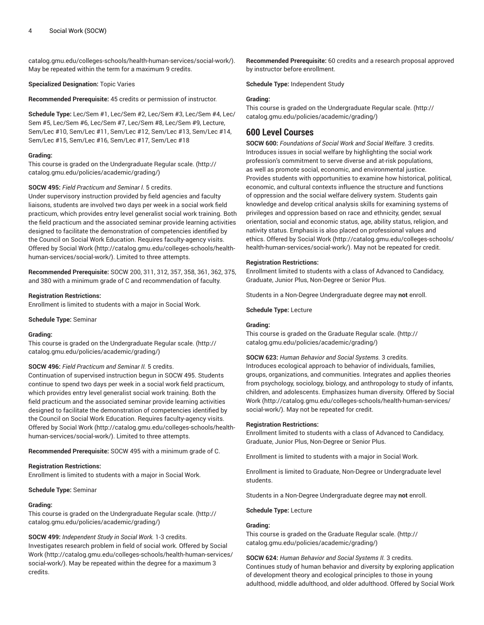[catalog.gmu.edu/colleges-schools/health-human-services/social-work/\)](http://catalog.gmu.edu/colleges-schools/health-human-services/social-work/). May be repeated within the term for a maximum 9 credits.

#### **Specialized Designation:** Topic Varies

**Recommended Prerequisite:** 45 credits or permission of instructor.

**Schedule Type:** Lec/Sem #1, Lec/Sem #2, Lec/Sem #3, Lec/Sem #4, Lec/ Sem #5, Lec/Sem #6, Lec/Sem #7, Lec/Sem #8, Lec/Sem #9, Lecture, Sem/Lec #10, Sem/Lec #11, Sem/Lec #12, Sem/Lec #13, Sem/Lec #14, Sem/Lec #15, Sem/Lec #16, Sem/Lec #17, Sem/Lec #18

## **Grading:**

This course is graded on the [Undergraduate](http://catalog.gmu.edu/policies/academic/grading/) Regular scale. ([http://](http://catalog.gmu.edu/policies/academic/grading/) [catalog.gmu.edu/policies/academic/grading/\)](http://catalog.gmu.edu/policies/academic/grading/)

#### **SOCW 495:** *Field Practicum and Seminar I.* 5 credits.

Under supervisory instruction provided by field agencies and faculty liaisons, students are involved two days per week in a social work field practicum, which provides entry level generalist social work training. Both the field practicum and the associated seminar provide learning activities designed to facilitate the demonstration of competencies identified by the Council on Social Work Education. Requires faculty-agency visits. Offered by [Social](http://catalog.gmu.edu/colleges-schools/health-human-services/social-work/) Work [\(http://catalog.gmu.edu/colleges-schools/health](http://catalog.gmu.edu/colleges-schools/health-human-services/social-work/)[human-services/social-work/\)](http://catalog.gmu.edu/colleges-schools/health-human-services/social-work/). Limited to three attempts.

**Recommended Prerequisite:** SOCW 200, 311, 312, 357, 358, 361, 362, 375, and 380 with a minimum grade of C and recommendation of faculty.

#### **Registration Restrictions:**

Enrollment is limited to students with a major in Social Work.

**Schedule Type:** Seminar

#### **Grading:**

This course is graded on the [Undergraduate](http://catalog.gmu.edu/policies/academic/grading/) Regular scale. ([http://](http://catalog.gmu.edu/policies/academic/grading/) [catalog.gmu.edu/policies/academic/grading/\)](http://catalog.gmu.edu/policies/academic/grading/)

## **SOCW 496:** *Field Practicum and Seminar II.* 5 credits.

Continuation of supervised instruction begun in SOCW 495. Students continue to spend two days per week in a social work field practicum, which provides entry level generalist social work training. Both the field practicum and the associated seminar provide learning activities designed to facilitate the demonstration of competencies identified by the Council on Social Work Education. Requires faculty-agency visits. Offered by [Social](http://catalog.gmu.edu/colleges-schools/health-human-services/social-work/) Work [\(http://catalog.gmu.edu/colleges-schools/health](http://catalog.gmu.edu/colleges-schools/health-human-services/social-work/)[human-services/social-work/\)](http://catalog.gmu.edu/colleges-schools/health-human-services/social-work/). Limited to three attempts.

**Recommended Prerequisite:** SOCW 495 with a minimum grade of C.

#### **Registration Restrictions:**

Enrollment is limited to students with a major in Social Work.

#### **Schedule Type:** Seminar

#### **Grading:**

This course is graded on the [Undergraduate](http://catalog.gmu.edu/policies/academic/grading/) Regular scale. ([http://](http://catalog.gmu.edu/policies/academic/grading/) [catalog.gmu.edu/policies/academic/grading/\)](http://catalog.gmu.edu/policies/academic/grading/)

## **SOCW 499:** *Independent Study in Social Work.* 1-3 credits.

Investigates research problem in field of social work. Offered by [Social](http://catalog.gmu.edu/colleges-schools/health-human-services/social-work/) [Work](http://catalog.gmu.edu/colleges-schools/health-human-services/social-work/) ([http://catalog.gmu.edu/colleges-schools/health-human-services/](http://catalog.gmu.edu/colleges-schools/health-human-services/social-work/) [social-work/](http://catalog.gmu.edu/colleges-schools/health-human-services/social-work/)). May be repeated within the degree for a maximum 3 credits.

**Recommended Prerequisite:** 60 credits and a research proposal approved by instructor before enrollment.

**Schedule Type:** Independent Study

#### **Grading:**

This course is graded on the [Undergraduate](http://catalog.gmu.edu/policies/academic/grading/) Regular scale. ([http://](http://catalog.gmu.edu/policies/academic/grading/) [catalog.gmu.edu/policies/academic/grading/](http://catalog.gmu.edu/policies/academic/grading/))

# **600 Level Courses**

**SOCW 600:** *Foundations of Social Work and Social Welfare.* 3 credits. Introduces issues in social welfare by highlighting the social work profession's commitment to serve diverse and at-risk populations, as well as promote social, economic, and environmental justice. Provides students with opportunities to examine how historical, political, economic, and cultural contexts influence the structure and functions of oppression and the social welfare delivery system. Students gain knowledge and develop critical analysis skills for examining systems of privileges and oppression based on race and ethnicity, gender, sexual orientation, social and economic status, age, ability status, religion, and nativity status. Emphasis is also placed on professional values and ethics. Offered by [Social](http://catalog.gmu.edu/colleges-schools/health-human-services/social-work/) Work ([http://catalog.gmu.edu/colleges-schools/](http://catalog.gmu.edu/colleges-schools/health-human-services/social-work/) [health-human-services/social-work/\)](http://catalog.gmu.edu/colleges-schools/health-human-services/social-work/). May not be repeated for credit.

#### **Registration Restrictions:**

Enrollment limited to students with a class of Advanced to Candidacy, Graduate, Junior Plus, Non-Degree or Senior Plus.

Students in a Non-Degree Undergraduate degree may **not** enroll.

**Schedule Type:** Lecture

## **Grading:**

This course is graded on the [Graduate Regular scale.](http://catalog.gmu.edu/policies/academic/grading/) ([http://](http://catalog.gmu.edu/policies/academic/grading/) [catalog.gmu.edu/policies/academic/grading/](http://catalog.gmu.edu/policies/academic/grading/))

#### **SOCW 623:** *Human Behavior and Social Systems.* 3 credits.

Introduces ecological approach to behavior of individuals, families, groups, organizations, and communities. Integrates and applies theories from psychology, sociology, biology, and anthropology to study of infants, children, and adolescents. Emphasizes human diversity. Offered by [Social](http://catalog.gmu.edu/colleges-schools/health-human-services/social-work/) [Work \(http://catalog.gmu.edu/colleges-schools/health-human-services/](http://catalog.gmu.edu/colleges-schools/health-human-services/social-work/) [social-work/\)](http://catalog.gmu.edu/colleges-schools/health-human-services/social-work/). May not be repeated for credit.

#### **Registration Restrictions:**

Enrollment limited to students with a class of Advanced to Candidacy, Graduate, Junior Plus, Non-Degree or Senior Plus.

Enrollment is limited to students with a major in Social Work.

Enrollment is limited to Graduate, Non-Degree or Undergraduate level students.

Students in a Non-Degree Undergraduate degree may **not** enroll.

**Schedule Type:** Lecture

## **Grading:**

This course is graded on the [Graduate Regular scale.](http://catalog.gmu.edu/policies/academic/grading/) ([http://](http://catalog.gmu.edu/policies/academic/grading/) [catalog.gmu.edu/policies/academic/grading/](http://catalog.gmu.edu/policies/academic/grading/))

## **SOCW 624:** *Human Behavior and Social Systems II.* 3 credits.

Continues study of human behavior and diversity by exploring application of development theory and ecological principles to those in young adulthood, middle adulthood, and older adulthood. Offered by [Social](http://catalog.gmu.edu/colleges-schools/health-human-services/social-work/) Work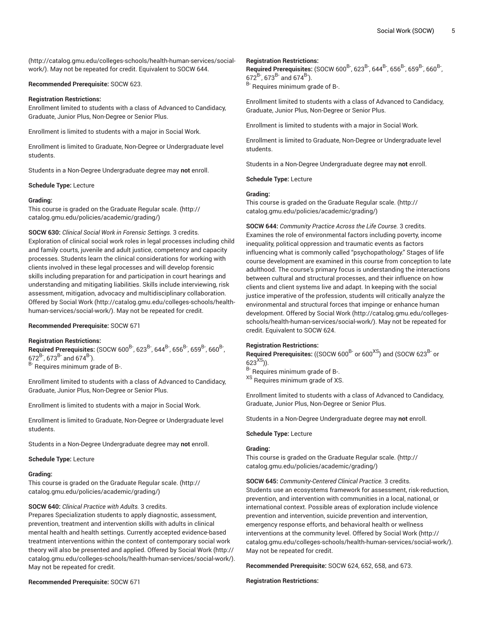([http://catalog.gmu.edu/colleges-schools/health-human-services/social](http://catalog.gmu.edu/colleges-schools/health-human-services/social-work/)[work/\)](http://catalog.gmu.edu/colleges-schools/health-human-services/social-work/). May not be repeated for credit. Equivalent to SOCW 644.

#### **Recommended Prerequisite:** SOCW 623.

#### **Registration Restrictions:**

Enrollment limited to students with a class of Advanced to Candidacy, Graduate, Junior Plus, Non-Degree or Senior Plus.

Enrollment is limited to students with a major in Social Work.

Enrollment is limited to Graduate, Non-Degree or Undergraduate level students.

Students in a Non-Degree Undergraduate degree may **not** enroll.

**Schedule Type:** Lecture

#### **Grading:**

This course is graded on the [Graduate Regular scale.](http://catalog.gmu.edu/policies/academic/grading/) [\(http://](http://catalog.gmu.edu/policies/academic/grading/) [catalog.gmu.edu/policies/academic/grading/\)](http://catalog.gmu.edu/policies/academic/grading/)

**SOCW 630:** *Clinical Social Work in Forensic Settings.* 3 credits. Exploration of clinical social work roles in legal processes including child and family courts, juvenile and adult justice, competency and capacity processes. Students learn the clinical considerations for working with clients involved in these legal processes and will develop forensic skills including preparation for and participation in court hearings and understanding and mitigating liabilities. Skills include interviewing, risk assessment, mitigation, advocacy and multidisciplinary collaboration. Offered by [Social](http://catalog.gmu.edu/colleges-schools/health-human-services/social-work/) Work [\(http://catalog.gmu.edu/colleges-schools/health](http://catalog.gmu.edu/colleges-schools/health-human-services/social-work/)[human-services/social-work/\)](http://catalog.gmu.edu/colleges-schools/health-human-services/social-work/). May not be repeated for credit.

## **Recommended Prerequisite:** SOCW 671

#### **Registration Restrictions:**

**Required Prerequisites:** (SOCW 600<sup>B-</sup>, 623<sup>B-</sup>, 644<sup>B-</sup>, 656<sup>B-</sup>, 659<sup>B-</sup>, 660<sup>B-</sup>, ,  $672^{B}$ ,  $673^{B}$  and  $674^{B}$ ).

B- Requires minimum grade of B-.

Enrollment limited to students with a class of Advanced to Candidacy, Graduate, Junior Plus, Non-Degree or Senior Plus.

Enrollment is limited to students with a major in Social Work.

Enrollment is limited to Graduate, Non-Degree or Undergraduate level students.

Students in a Non-Degree Undergraduate degree may **not** enroll.

#### **Schedule Type:** Lecture

#### **Grading:**

This course is graded on the [Graduate Regular scale.](http://catalog.gmu.edu/policies/academic/grading/) [\(http://](http://catalog.gmu.edu/policies/academic/grading/) [catalog.gmu.edu/policies/academic/grading/\)](http://catalog.gmu.edu/policies/academic/grading/)

## **SOCW 640:** *Clinical Practice with Adults.* 3 credits.

Prepares Specialization students to apply diagnostic, assessment, prevention, treatment and intervention skills with adults in clinical mental health and health settings. Currently accepted evidence-based treatment interventions within the context of contemporary social work theory will also be presented and applied. Offered by [Social](http://catalog.gmu.edu/colleges-schools/health-human-services/social-work/) Work ([http://](http://catalog.gmu.edu/colleges-schools/health-human-services/social-work/) [catalog.gmu.edu/colleges-schools/health-human-services/social-work/\)](http://catalog.gmu.edu/colleges-schools/health-human-services/social-work/). May not be repeated for credit.

#### **Registration Restrictions:**

**Required Prerequisites:** (SOCW 600<sup>B-</sup>, 623<sup>B-</sup>, 644<sup>B-</sup>, 656<sup>B-</sup>, 659<sup>B-</sup>, 660<sup>B-</sup>, ,  $672^{B}$ ,  $673^{B}$  and  $674^{B}$ ). B- Requires minimum grade of B-.

Enrollment limited to students with a class of Advanced to Candidacy, Graduate, Junior Plus, Non-Degree or Senior Plus.

Enrollment is limited to students with a major in Social Work.

Enrollment is limited to Graduate, Non-Degree or Undergraduate level students.

Students in a Non-Degree Undergraduate degree may **not** enroll.

**Schedule Type:** Lecture

## **Grading:**

This course is graded on the [Graduate Regular scale.](http://catalog.gmu.edu/policies/academic/grading/) ([http://](http://catalog.gmu.edu/policies/academic/grading/) [catalog.gmu.edu/policies/academic/grading/](http://catalog.gmu.edu/policies/academic/grading/))

**SOCW 644:** *Community Practice Across the Life Course.* 3 credits. Examines the role of environmental factors including poverty, income inequality, political oppression and traumatic events as factors influencing what is commonly called "psychopathology." Stages of life course development are examined in this course from conception to late adulthood. The course's primary focus is understanding the interactions between cultural and structural processes, and their influence on how clients and client systems live and adapt. In keeping with the social justice imperative of the profession, students will critically analyze the environmental and structural forces that impinge or enhance human development. Offered by [Social](http://catalog.gmu.edu/colleges-schools/health-human-services/social-work/) Work [\(http://catalog.gmu.edu/colleges](http://catalog.gmu.edu/colleges-schools/health-human-services/social-work/)[schools/health-human-services/social-work/](http://catalog.gmu.edu/colleges-schools/health-human-services/social-work/)). May not be repeated for credit. Equivalent to SOCW 624.

#### **Registration Restrictions:**

**Required Prerequisites:** ((SOCW 600<sup>B-</sup> or 600<sup>XS</sup>) and (SOCW 623<sup>B-</sup> or  $623^{XS}$ )).

B- Requires minimum grade of B-.

<sup>XS</sup> Requires minimum grade of XS.

Enrollment limited to students with a class of Advanced to Candidacy, Graduate, Junior Plus, Non-Degree or Senior Plus.

Students in a Non-Degree Undergraduate degree may **not** enroll.

#### **Schedule Type:** Lecture

#### **Grading:**

This course is graded on the [Graduate Regular scale.](http://catalog.gmu.edu/policies/academic/grading/) ([http://](http://catalog.gmu.edu/policies/academic/grading/) [catalog.gmu.edu/policies/academic/grading/](http://catalog.gmu.edu/policies/academic/grading/))

**SOCW 645:** *Community-Centered Clinical Practice.* 3 credits. Students use an ecosystems framework for assessment, risk-reduction, prevention, and intervention with communities in a local, national, or international context. Possible areas of exploration include violence prevention and intervention, suicide prevention and intervention, emergency response efforts, and behavioral health or wellness interventions at the community level. Offered by [Social](http://catalog.gmu.edu/colleges-schools/health-human-services/social-work/) Work [\(http://](http://catalog.gmu.edu/colleges-schools/health-human-services/social-work/) [catalog.gmu.edu/colleges-schools/health-human-services/social-work/](http://catalog.gmu.edu/colleges-schools/health-human-services/social-work/)). May not be repeated for credit.

**Recommended Prerequisite:** SOCW 624, 652, 658, and 673.

#### **Registration Restrictions:**

**Recommended Prerequisite:** SOCW 671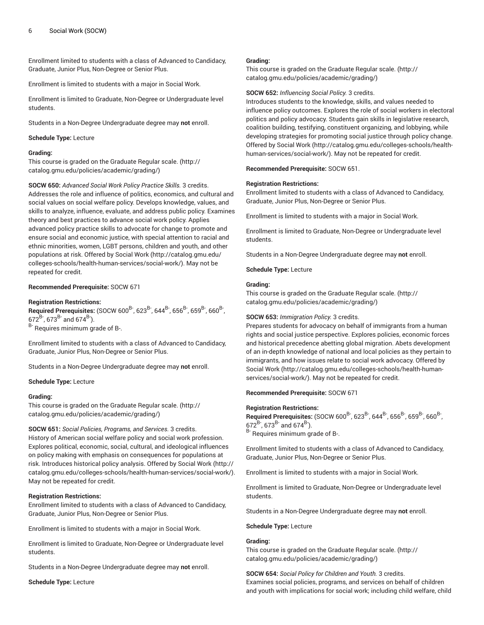Enrollment limited to students with a class of Advanced to Candidacy, Graduate, Junior Plus, Non-Degree or Senior Plus.

Enrollment is limited to students with a major in Social Work.

Enrollment is limited to Graduate, Non-Degree or Undergraduate level students.

Students in a Non-Degree Undergraduate degree may **not** enroll.

#### **Schedule Type:** Lecture

#### **Grading:**

This course is graded on the [Graduate Regular scale.](http://catalog.gmu.edu/policies/academic/grading/) [\(http://](http://catalog.gmu.edu/policies/academic/grading/) [catalog.gmu.edu/policies/academic/grading/\)](http://catalog.gmu.edu/policies/academic/grading/)

**SOCW 650:** *Advanced Social Work Policy Practice Skills.* 3 credits. Addresses the role and influence of politics, economics, and cultural and social values on social welfare policy. Develops knowledge, values, and skills to analyze, influence, evaluate, and address public policy. Examines theory and best practices to advance social work policy. Applies advanced policy practice skills to advocate for change to promote and ensure social and economic justice, with special attention to racial and ethnic minorities, women, LGBT persons, children and youth, and other populations at risk. Offered by [Social](http://catalog.gmu.edu/colleges-schools/health-human-services/social-work/) Work ([http://catalog.gmu.edu/](http://catalog.gmu.edu/colleges-schools/health-human-services/social-work/) [colleges-schools/health-human-services/social-work/](http://catalog.gmu.edu/colleges-schools/health-human-services/social-work/)). May not be repeated for credit.

## **Recommended Prerequisite:** SOCW 671

#### **Registration Restrictions:**

**Required Prerequisites:** (SOCW 600<sup>B-</sup>, 623<sup>B-</sup>, 644<sup>B-</sup>, 656<sup>B-</sup>, 659<sup>B-</sup>, 660<sup>B-</sup>, ,  $672^{B}$ ,  $673^{B}$  and  $674^{B}$ ).

B- Requires minimum grade of B-.

Enrollment limited to students with a class of Advanced to Candidacy, Graduate, Junior Plus, Non-Degree or Senior Plus.

Students in a Non-Degree Undergraduate degree may **not** enroll.

#### **Schedule Type:** Lecture

#### **Grading:**

This course is graded on the [Graduate Regular scale.](http://catalog.gmu.edu/policies/academic/grading/) [\(http://](http://catalog.gmu.edu/policies/academic/grading/) [catalog.gmu.edu/policies/academic/grading/\)](http://catalog.gmu.edu/policies/academic/grading/)

**SOCW 651:** *Social Policies, Programs, and Services.* 3 credits.

History of American social welfare policy and social work profession. Explores political, economic, social, cultural, and ideological influences on policy making with emphasis on consequences for populations at risk. Introduces historical policy analysis. Offered by [Social](http://catalog.gmu.edu/colleges-schools/health-human-services/social-work/) Work [\(http://](http://catalog.gmu.edu/colleges-schools/health-human-services/social-work/) [catalog.gmu.edu/colleges-schools/health-human-services/social-work/\)](http://catalog.gmu.edu/colleges-schools/health-human-services/social-work/). May not be repeated for credit.

## **Registration Restrictions:**

Enrollment limited to students with a class of Advanced to Candidacy, Graduate, Junior Plus, Non-Degree or Senior Plus.

Enrollment is limited to students with a major in Social Work.

Enrollment is limited to Graduate, Non-Degree or Undergraduate level students.

Students in a Non-Degree Undergraduate degree may **not** enroll.

**Schedule Type:** Lecture

#### **Grading:**

This course is graded on the [Graduate Regular scale.](http://catalog.gmu.edu/policies/academic/grading/) ([http://](http://catalog.gmu.edu/policies/academic/grading/) [catalog.gmu.edu/policies/academic/grading/](http://catalog.gmu.edu/policies/academic/grading/))

#### **SOCW 652:** *Influencing Social Policy.* 3 credits.

Introduces students to the knowledge, skills, and values needed to influence policy outcomes. Explores the role of social workers in electoral politics and policy advocacy. Students gain skills in legislative research, coalition building, testifying, constituent organizing, and lobbying, while developing strategies for promoting social justice through policy change. Offered by [Social](http://catalog.gmu.edu/colleges-schools/health-human-services/social-work/) Work ([http://catalog.gmu.edu/colleges-schools/health](http://catalog.gmu.edu/colleges-schools/health-human-services/social-work/)[human-services/social-work/](http://catalog.gmu.edu/colleges-schools/health-human-services/social-work/)). May not be repeated for credit.

**Recommended Prerequisite:** SOCW 651.

## **Registration Restrictions:**

Enrollment limited to students with a class of Advanced to Candidacy, Graduate, Junior Plus, Non-Degree or Senior Plus.

Enrollment is limited to students with a major in Social Work.

Enrollment is limited to Graduate, Non-Degree or Undergraduate level students.

Students in a Non-Degree Undergraduate degree may **not** enroll.

**Schedule Type:** Lecture

#### **Grading:**

This course is graded on the [Graduate Regular scale.](http://catalog.gmu.edu/policies/academic/grading/) ([http://](http://catalog.gmu.edu/policies/academic/grading/) [catalog.gmu.edu/policies/academic/grading/](http://catalog.gmu.edu/policies/academic/grading/))

# **SOCW 653:** *Immigration Policy.* 3 credits.

Prepares students for advocacy on behalf of immigrants from a human rights and social justice perspective. Explores policies, economic forces and historical precedence abetting global migration. Abets development of an in-depth knowledge of national and local policies as they pertain to immigrants, and how issues relate to social work advocacy. Offered by [Social](http://catalog.gmu.edu/colleges-schools/health-human-services/social-work/) Work ([http://catalog.gmu.edu/colleges-schools/health-human](http://catalog.gmu.edu/colleges-schools/health-human-services/social-work/)[services/social-work/\)](http://catalog.gmu.edu/colleges-schools/health-human-services/social-work/). May not be repeated for credit.

#### **Recommended Prerequisite:** SOCW 671

#### **Registration Restrictions:**

**Required Prerequisites:** (SOCW 600<sup>B-</sup>, 623<sup>B-</sup>, 644<sup>B-</sup>, 656<sup>B-</sup>, 659<sup>B-</sup>, 660<sup>B-</sup>, ,  $672^{B}$ ,  $673^{B}$  and  $674^{B}$ ). <sup>B-</sup> Requires minimum grade of B-.

Enrollment limited to students with a class of Advanced to Candidacy, Graduate, Junior Plus, Non-Degree or Senior Plus.

Enrollment is limited to students with a major in Social Work.

Enrollment is limited to Graduate, Non-Degree or Undergraduate level students.

Students in a Non-Degree Undergraduate degree may **not** enroll.

#### **Schedule Type:** Lecture

## **Grading:**

This course is graded on the [Graduate Regular scale.](http://catalog.gmu.edu/policies/academic/grading/) ([http://](http://catalog.gmu.edu/policies/academic/grading/) [catalog.gmu.edu/policies/academic/grading/](http://catalog.gmu.edu/policies/academic/grading/))

**SOCW 654:** *Social Policy for Children and Youth.* 3 credits. Examines social policies, programs, and services on behalf of children and youth with implications for social work; including child welfare, child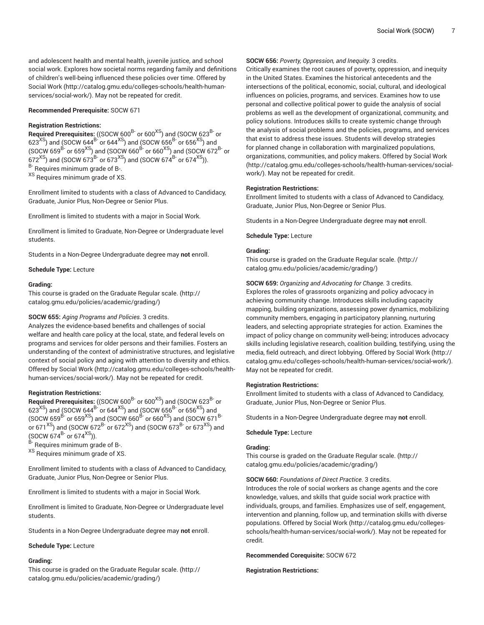and adolescent health and mental health, juvenile justice, and school social work. Explores how societal norms regarding family and definitions of children's well-being influenced these policies over time. Offered by [Social](http://catalog.gmu.edu/colleges-schools/health-human-services/social-work/) Work [\(http://catalog.gmu.edu/colleges-schools/health-human](http://catalog.gmu.edu/colleges-schools/health-human-services/social-work/)[services/social-work/](http://catalog.gmu.edu/colleges-schools/health-human-services/social-work/)). May not be repeated for credit.

#### **Recommended Prerequisite:** SOCW 671

## **Registration Restrictions:**

**Required Prerequisites:** ((SOCW 600<sup>B-</sup> or 600<sup>XS</sup>) and (SOCW 623<sup>B-</sup> or 623 $^{\rm \chi S}$ ) and (SOCW 644 $^{\rm B}$ - or 644 $^{\rm \chi S}$ ) and (SOCW 656 $^{\rm B}$ - or 656 $^{\rm \chi S}$ ) and (SOCW 659 $\text{B}^2$  or 659<sup>XS</sup>) and (SOCW 660<sup>B-</sup> or 660<sup>XS</sup>) and (SOCW 672<sup>B-</sup> or  $672^{XS}$ ) and (SOCW 673<sup>B-</sup> or 673<sup>XS</sup>) and (SOCW 674<sup>B-</sup> or 674<sup>XS</sup>)). <sup>B-</sup> Requires minimum grade of B-. XS Requires minimum grade of XS.

Enrollment limited to students with a class of Advanced to Candidacy, Graduate, Junior Plus, Non-Degree or Senior Plus.

Enrollment is limited to students with a major in Social Work.

Enrollment is limited to Graduate, Non-Degree or Undergraduate level students.

Students in a Non-Degree Undergraduate degree may **not** enroll.

#### **Schedule Type:** Lecture

#### **Grading:**

This course is graded on the [Graduate Regular scale.](http://catalog.gmu.edu/policies/academic/grading/) [\(http://](http://catalog.gmu.edu/policies/academic/grading/) [catalog.gmu.edu/policies/academic/grading/\)](http://catalog.gmu.edu/policies/academic/grading/)

## **SOCW 655:** *Aging Programs and Policies.* 3 credits.

Analyzes the evidence-based benefits and challenges of social welfare and health care policy at the local, state, and federal levels on programs and services for older persons and their families. Fosters an understanding of the context of administrative structures, and legislative context of social policy and aging with attention to diversity and ethics. Offered by [Social](http://catalog.gmu.edu/colleges-schools/health-human-services/social-work/) Work [\(http://catalog.gmu.edu/colleges-schools/health](http://catalog.gmu.edu/colleges-schools/health-human-services/social-work/)[human-services/social-work/\)](http://catalog.gmu.edu/colleges-schools/health-human-services/social-work/). May not be repeated for credit.

#### **Registration Restrictions:**

**Required Prerequisites:** ((SOCW 600<sup>B-</sup> or 600<sup>XS</sup>) and (SOCW 623<sup>B-</sup> or  $623<sup>XS</sup>$ ) and (SOCW 644<sup>B-</sup> or 644<sup>XS</sup>) and (SOCW 656<sup>B-</sup> or 656<sup>XS</sup>) and (SOCW 659 $\overline{B}$ - or 659<sup>XS</sup>) and (SOCW 660 $\overline{B}$ - or 660<sup>XS</sup>) and (SOCW 671 $\overline{B}$ or 671<sup>XS</sup>) and (SOCW 672<sup>B-</sup> or 672<sup>XS</sup>) and (SOCW 673<sup>B-</sup> or 673<sup>XS</sup>) and  $(SOCW 674^{B}$  or 674<sup>XS</sup>)).

<sup>B-</sup> Requires minimum grade of B-.

XS Requires minimum grade of XS.

Enrollment limited to students with a class of Advanced to Candidacy, Graduate, Junior Plus, Non-Degree or Senior Plus.

Enrollment is limited to students with a major in Social Work.

Enrollment is limited to Graduate, Non-Degree or Undergraduate level students.

Students in a Non-Degree Undergraduate degree may **not** enroll.

#### **Schedule Type:** Lecture

#### **Grading:**

This course is graded on the [Graduate Regular scale.](http://catalog.gmu.edu/policies/academic/grading/) [\(http://](http://catalog.gmu.edu/policies/academic/grading/) [catalog.gmu.edu/policies/academic/grading/\)](http://catalog.gmu.edu/policies/academic/grading/)

#### **SOCW 656:** *Poverty, Oppression, and Inequity.* 3 credits.

Critically examines the root causes of poverty, oppression, and inequity in the United States. Examines the historical antecedents and the intersections of the political, economic, social, cultural, and ideological influences on policies, programs, and services. Examines how to use personal and collective political power to guide the analysis of social problems as well as the development of organizational, community, and policy solutions. Introduces skills to create systemic change through the analysis of social problems and the policies, programs, and services that exist to address these issues. Students will develop strategies for planned change in collaboration with marginalized populations, organizations, communities, and policy makers. Offered by [Social](http://catalog.gmu.edu/colleges-schools/health-human-services/social-work/) Work [\(http://catalog.gmu.edu/colleges-schools/health-human-services/social](http://catalog.gmu.edu/colleges-schools/health-human-services/social-work/)[work/](http://catalog.gmu.edu/colleges-schools/health-human-services/social-work/)). May not be repeated for credit.

#### **Registration Restrictions:**

Enrollment limited to students with a class of Advanced to Candidacy, Graduate, Junior Plus, Non-Degree or Senior Plus.

Students in a Non-Degree Undergraduate degree may **not** enroll.

**Schedule Type:** Lecture

#### **Grading:**

This course is graded on the [Graduate Regular scale.](http://catalog.gmu.edu/policies/academic/grading/) ([http://](http://catalog.gmu.edu/policies/academic/grading/) [catalog.gmu.edu/policies/academic/grading/](http://catalog.gmu.edu/policies/academic/grading/))

**SOCW 659:** *Organizing and Advocating for Change.* 3 credits.

Explores the roles of grassroots organizing and policy advocacy in achieving community change. Introduces skills including capacity mapping, building organizations, assessing power dynamics, mobilizing community members, engaging in participatory planning, nurturing leaders, and selecting appropriate strategies for action. Examines the impact of policy change on community well-being; introduces advocacy skills including legislative research, coalition building, testifying, using the media, field outreach, and direct lobbying. Offered by [Social](http://catalog.gmu.edu/colleges-schools/health-human-services/social-work/) Work ([http://](http://catalog.gmu.edu/colleges-schools/health-human-services/social-work/) [catalog.gmu.edu/colleges-schools/health-human-services/social-work/](http://catalog.gmu.edu/colleges-schools/health-human-services/social-work/)). May not be repeated for credit.

#### **Registration Restrictions:**

Enrollment limited to students with a class of Advanced to Candidacy, Graduate, Junior Plus, Non-Degree or Senior Plus.

Students in a Non-Degree Undergraduate degree may **not** enroll.

#### **Schedule Type:** Lecture

#### **Grading:**

This course is graded on the [Graduate Regular scale.](http://catalog.gmu.edu/policies/academic/grading/) ([http://](http://catalog.gmu.edu/policies/academic/grading/) [catalog.gmu.edu/policies/academic/grading/](http://catalog.gmu.edu/policies/academic/grading/))

#### **SOCW 660:** *Foundations of Direct Practice.* 3 credits.

Introduces the role of social workers as change agents and the core knowledge, values, and skills that guide social work practice with individuals, groups, and families. Emphasizes use of self, engagement, intervention and planning, follow up, and termination skills with diverse populations. Offered by [Social](http://catalog.gmu.edu/colleges-schools/health-human-services/social-work/) Work [\(http://catalog.gmu.edu/colleges](http://catalog.gmu.edu/colleges-schools/health-human-services/social-work/)[schools/health-human-services/social-work/](http://catalog.gmu.edu/colleges-schools/health-human-services/social-work/)). May not be repeated for credit.

#### **Recommended Corequisite:** SOCW 672

#### **Registration Restrictions:**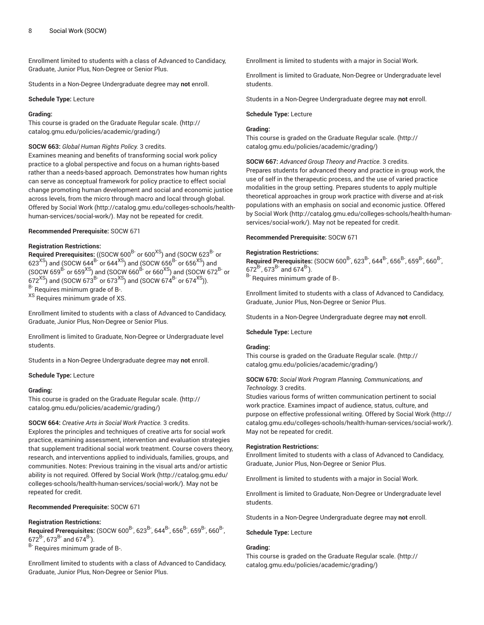Enrollment limited to students with a class of Advanced to Candidacy, Graduate, Junior Plus, Non-Degree or Senior Plus.

Students in a Non-Degree Undergraduate degree may **not** enroll.

#### **Schedule Type:** Lecture

## **Grading:**

This course is graded on the [Graduate Regular scale.](http://catalog.gmu.edu/policies/academic/grading/) [\(http://](http://catalog.gmu.edu/policies/academic/grading/) [catalog.gmu.edu/policies/academic/grading/\)](http://catalog.gmu.edu/policies/academic/grading/)

#### **SOCW 663:** *Global Human Rights Policy.* 3 credits.

Examines meaning and benefits of transforming social work policy practice to a global perspective and focus on a human rights-based rather than a needs-based approach. Demonstrates how human rights can serve as conceptual framework for policy practice to effect social change promoting human development and social and economic justice across levels, from the micro through macro and local through global. Offered by [Social](http://catalog.gmu.edu/colleges-schools/health-human-services/social-work/) Work [\(http://catalog.gmu.edu/colleges-schools/health](http://catalog.gmu.edu/colleges-schools/health-human-services/social-work/)[human-services/social-work/\)](http://catalog.gmu.edu/colleges-schools/health-human-services/social-work/). May not be repeated for credit.

## **Recommended Prerequisite:** SOCW 671

## **Registration Restrictions:**

**Required Prerequisites:** ((SOCW 600<sup>B-</sup> or 600<sup>XS</sup>) and (SOCW 623<sup>B-</sup> or 623 $^{\rm \chi S}$ ) and (SOCW 644 $^{\rm B}$ - or 644 $^{\rm \chi S}$ ) and (SOCW 656 $^{\rm B}$ - or 656 $^{\rm \chi S}$ ) and (SOCW 659 $^\mathrm{B-}$  or 659 $^\mathrm{XS}$ ) and (SOCW 660 $^\mathrm{B-}$  or 660 $^\mathrm{XS}$ ) and (SOCW 672 $^\mathrm{B-}$  or  $672^{\mathrm{XS}}$ ) and (SOCW 673 $^{\mathrm{B}}$  or 673 $^{\mathrm{XS}}$ ) and (SOCW 674 $^{\mathrm{B}}$  or 674 $^{\mathrm{XS}}$ )).

<sup>B-</sup> Requires minimum grade of B-.

XS Requires minimum grade of XS.

Enrollment limited to students with a class of Advanced to Candidacy, Graduate, Junior Plus, Non-Degree or Senior Plus.

Enrollment is limited to Graduate, Non-Degree or Undergraduate level students.

Students in a Non-Degree Undergraduate degree may **not** enroll.

#### **Schedule Type:** Lecture

#### **Grading:**

This course is graded on the [Graduate Regular scale.](http://catalog.gmu.edu/policies/academic/grading/) [\(http://](http://catalog.gmu.edu/policies/academic/grading/) [catalog.gmu.edu/policies/academic/grading/\)](http://catalog.gmu.edu/policies/academic/grading/)

## **SOCW 664:** *Creative Arts in Social Work Practice.* 3 credits.

Explores the principles and techniques of creative arts for social work practice, examining assessment, intervention and evaluation strategies that supplement traditional social work treatment. Course covers theory, research, and interventions applied to individuals, families, groups, and communities. Notes: Previous training in the visual arts and/or artistic ability is not required. Offered by [Social](http://catalog.gmu.edu/colleges-schools/health-human-services/social-work/) Work [\(http://catalog.gmu.edu/](http://catalog.gmu.edu/colleges-schools/health-human-services/social-work/) [colleges-schools/health-human-services/social-work/](http://catalog.gmu.edu/colleges-schools/health-human-services/social-work/)). May not be repeated for credit.

**Recommended Prerequisite:** SOCW 671

## **Registration Restrictions:**

**Required Prerequisites:** (SOCW 600<sup>B-</sup>, 623<sup>B-</sup>, 644<sup>B-</sup>, 656<sup>B-</sup>, 659<sup>B-</sup>, 660<sup>B-</sup>, ,  $672^{B}$ ,  $673^{B}$  and  $674^{B}$ ).

B- Requires minimum grade of B-.

Enrollment limited to students with a class of Advanced to Candidacy, Graduate, Junior Plus, Non-Degree or Senior Plus.

Enrollment is limited to students with a major in Social Work.

Enrollment is limited to Graduate, Non-Degree or Undergraduate level students.

Students in a Non-Degree Undergraduate degree may **not** enroll.

#### **Schedule Type:** Lecture

## **Grading:**

This course is graded on the [Graduate Regular scale.](http://catalog.gmu.edu/policies/academic/grading/) ([http://](http://catalog.gmu.edu/policies/academic/grading/) [catalog.gmu.edu/policies/academic/grading/](http://catalog.gmu.edu/policies/academic/grading/))

**SOCW 667:** *Advanced Group Theory and Practice.* 3 credits. Prepares students for advanced theory and practice in group work, the use of self in the therapeutic process, and the use of varied practice modalities in the group setting. Prepares students to apply multiple theoretical approaches in group work practice with diverse and at-risk populations with an emphasis on social and economic justice. Offered by [Social](http://catalog.gmu.edu/colleges-schools/health-human-services/social-work/) Work [\(http://catalog.gmu.edu/colleges-schools/health-human](http://catalog.gmu.edu/colleges-schools/health-human-services/social-work/)[services/social-work/\)](http://catalog.gmu.edu/colleges-schools/health-human-services/social-work/). May not be repeated for credit.

#### **Recommended Prerequisite:** SOCW 671

#### **Registration Restrictions:**

**Required Prerequisites:** (SOCW 600<sup>B-</sup>, 623<sup>B-</sup>, 644<sup>B-</sup>, 656<sup>B-</sup>, 659<sup>B-</sup>, 660<sup>B-</sup>, ,  $672^{B}$ ,  $673^{B}$  and  $674^{B}$ ). B- Requires minimum grade of B-.

Enrollment limited to students with a class of Advanced to Candidacy, Graduate, Junior Plus, Non-Degree or Senior Plus.

Students in a Non-Degree Undergraduate degree may **not** enroll.

#### **Schedule Type:** Lecture

#### **Grading:**

This course is graded on the [Graduate Regular scale.](http://catalog.gmu.edu/policies/academic/grading/) ([http://](http://catalog.gmu.edu/policies/academic/grading/) [catalog.gmu.edu/policies/academic/grading/](http://catalog.gmu.edu/policies/academic/grading/))

## **SOCW 670:** *Social Work Program Planning, Communications, and Technology.* 3 credits.

Studies various forms of written communication pertinent to social work practice. Examines impact of audience, status, culture, and purpose on effective professional writing. Offered by [Social](http://catalog.gmu.edu/colleges-schools/health-human-services/social-work/) Work [\(http://](http://catalog.gmu.edu/colleges-schools/health-human-services/social-work/) [catalog.gmu.edu/colleges-schools/health-human-services/social-work/](http://catalog.gmu.edu/colleges-schools/health-human-services/social-work/)). May not be repeated for credit.

## **Registration Restrictions:**

Enrollment limited to students with a class of Advanced to Candidacy, Graduate, Junior Plus, Non-Degree or Senior Plus.

Enrollment is limited to students with a major in Social Work.

Enrollment is limited to Graduate, Non-Degree or Undergraduate level students.

Students in a Non-Degree Undergraduate degree may **not** enroll.

#### **Schedule Type:** Lecture

#### **Grading:**

This course is graded on the [Graduate Regular scale.](http://catalog.gmu.edu/policies/academic/grading/) ([http://](http://catalog.gmu.edu/policies/academic/grading/) [catalog.gmu.edu/policies/academic/grading/](http://catalog.gmu.edu/policies/academic/grading/))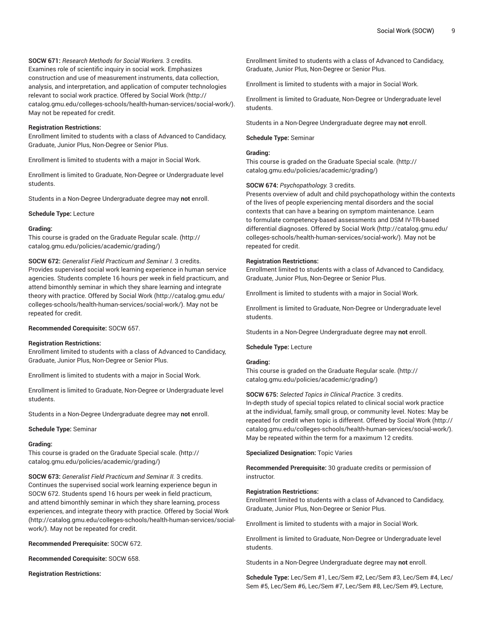**SOCW 671:** *Research Methods for Social Workers.* 3 credits. Examines role of scientific inquiry in social work. Emphasizes construction and use of measurement instruments, data collection, analysis, and interpretation, and application of computer technologies relevant to social work practice. Offered by [Social](http://catalog.gmu.edu/colleges-schools/health-human-services/social-work/) Work [\(http://](http://catalog.gmu.edu/colleges-schools/health-human-services/social-work/) [catalog.gmu.edu/colleges-schools/health-human-services/social-work/\)](http://catalog.gmu.edu/colleges-schools/health-human-services/social-work/). May not be repeated for credit.

#### **Registration Restrictions:**

Enrollment limited to students with a class of Advanced to Candidacy, Graduate, Junior Plus, Non-Degree or Senior Plus.

Enrollment is limited to students with a major in Social Work.

Enrollment is limited to Graduate, Non-Degree or Undergraduate level students.

Students in a Non-Degree Undergraduate degree may **not** enroll.

**Schedule Type:** Lecture

#### **Grading:**

This course is graded on the [Graduate Regular scale.](http://catalog.gmu.edu/policies/academic/grading/) [\(http://](http://catalog.gmu.edu/policies/academic/grading/) [catalog.gmu.edu/policies/academic/grading/\)](http://catalog.gmu.edu/policies/academic/grading/)

#### **SOCW 672:** *Generalist Field Practicum and Seminar I.* 3 credits.

Provides supervised social work learning experience in human service agencies. Students complete 16 hours per week in field practicum, and attend bimonthly seminar in which they share learning and integrate theory with practice. Offered by [Social](http://catalog.gmu.edu/colleges-schools/health-human-services/social-work/) Work ([http://catalog.gmu.edu/](http://catalog.gmu.edu/colleges-schools/health-human-services/social-work/) [colleges-schools/health-human-services/social-work/](http://catalog.gmu.edu/colleges-schools/health-human-services/social-work/)). May not be repeated for credit.

#### **Recommended Corequisite:** SOCW 657.

#### **Registration Restrictions:**

Enrollment limited to students with a class of Advanced to Candidacy, Graduate, Junior Plus, Non-Degree or Senior Plus.

Enrollment is limited to students with a major in Social Work.

Enrollment is limited to Graduate, Non-Degree or Undergraduate level students.

Students in a Non-Degree Undergraduate degree may **not** enroll.

**Schedule Type:** Seminar

#### **Grading:**

This course is graded on the [Graduate Special scale.](http://catalog.gmu.edu/policies/academic/grading/) ([http://](http://catalog.gmu.edu/policies/academic/grading/) [catalog.gmu.edu/policies/academic/grading/\)](http://catalog.gmu.edu/policies/academic/grading/)

**SOCW 673:** *Generalist Field Practicum and Seminar II.* 3 credits. Continues the supervised social work learning experience begun in SOCW 672. Students spend 16 hours per week in field practicum, and attend bimonthly seminar in which they share learning, process experiences, and integrate theory with practice. Offered by [Social](http://catalog.gmu.edu/colleges-schools/health-human-services/social-work/) Work ([http://catalog.gmu.edu/colleges-schools/health-human-services/social](http://catalog.gmu.edu/colleges-schools/health-human-services/social-work/)[work/\)](http://catalog.gmu.edu/colleges-schools/health-human-services/social-work/). May not be repeated for credit.

**Recommended Prerequisite:** SOCW 672.

**Recommended Corequisite:** SOCW 658.

**Registration Restrictions:**

Enrollment limited to students with a class of Advanced to Candidacy, Graduate, Junior Plus, Non-Degree or Senior Plus.

Enrollment is limited to students with a major in Social Work.

Enrollment is limited to Graduate, Non-Degree or Undergraduate level students.

Students in a Non-Degree Undergraduate degree may **not** enroll.

## **Schedule Type:** Seminar

## **Grading:**

This course is graded on the [Graduate Special scale. \(http://](http://catalog.gmu.edu/policies/academic/grading/) [catalog.gmu.edu/policies/academic/grading/](http://catalog.gmu.edu/policies/academic/grading/))

## **SOCW 674:** *Psychopathology.* 3 credits.

Presents overview of adult and child psychopathology within the contexts of the lives of people experiencing mental disorders and the social contexts that can have a bearing on symptom maintenance. Learn to formulate competency-based assessments and DSM IV-TR-based differential diagnoses. Offered by [Social](http://catalog.gmu.edu/colleges-schools/health-human-services/social-work/) Work ([http://catalog.gmu.edu/](http://catalog.gmu.edu/colleges-schools/health-human-services/social-work/) [colleges-schools/health-human-services/social-work/](http://catalog.gmu.edu/colleges-schools/health-human-services/social-work/)). May not be repeated for credit.

#### **Registration Restrictions:**

Enrollment limited to students with a class of Advanced to Candidacy, Graduate, Junior Plus, Non-Degree or Senior Plus.

Enrollment is limited to students with a major in Social Work.

Enrollment is limited to Graduate, Non-Degree or Undergraduate level students.

Students in a Non-Degree Undergraduate degree may **not** enroll.

**Schedule Type:** Lecture

#### **Grading:**

This course is graded on the [Graduate Regular scale.](http://catalog.gmu.edu/policies/academic/grading/) ([http://](http://catalog.gmu.edu/policies/academic/grading/) [catalog.gmu.edu/policies/academic/grading/](http://catalog.gmu.edu/policies/academic/grading/))

## **SOCW 675:** *Selected Topics in Clinical Practice.* 3 credits.

In-depth study of special topics related to clinical social work practice at the individual, family, small group, or community level. Notes: May be repeated for credit when topic is different. Offered by [Social](http://catalog.gmu.edu/colleges-schools/health-human-services/social-work/) Work ([http://](http://catalog.gmu.edu/colleges-schools/health-human-services/social-work/) [catalog.gmu.edu/colleges-schools/health-human-services/social-work/](http://catalog.gmu.edu/colleges-schools/health-human-services/social-work/)). May be repeated within the term for a maximum 12 credits.

**Specialized Designation:** Topic Varies

**Recommended Prerequisite:** 30 graduate credits or permission of instructor.

#### **Registration Restrictions:**

Enrollment limited to students with a class of Advanced to Candidacy, Graduate, Junior Plus, Non-Degree or Senior Plus.

Enrollment is limited to students with a major in Social Work.

Enrollment is limited to Graduate, Non-Degree or Undergraduate level students.

Students in a Non-Degree Undergraduate degree may **not** enroll.

**Schedule Type:** Lec/Sem #1, Lec/Sem #2, Lec/Sem #3, Lec/Sem #4, Lec/ Sem #5, Lec/Sem #6, Lec/Sem #7, Lec/Sem #8, Lec/Sem #9, Lecture,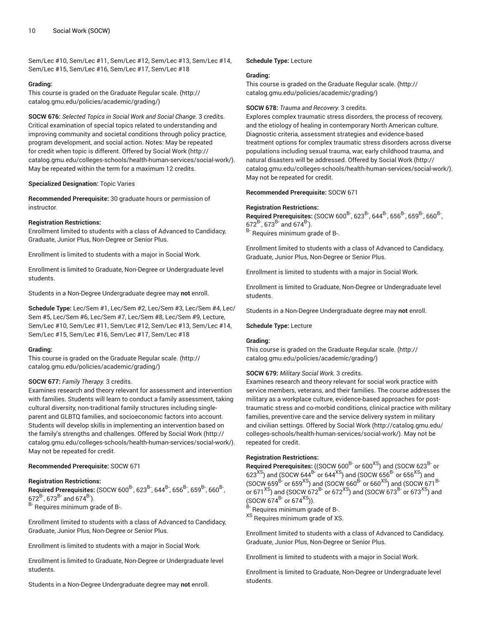Sem/Lec #10, Sem/Lec #11, Sem/Lec #12, Sem/Lec #13, Sem/Lec #14, Sem/Lec #15, Sem/Lec #16, Sem/Lec #17, Sem/Lec #18

#### **Grading:**

This course is graded on the [Graduate Regular scale.](http://catalog.gmu.edu/policies/academic/grading/) [\(http://](http://catalog.gmu.edu/policies/academic/grading/) [catalog.gmu.edu/policies/academic/grading/\)](http://catalog.gmu.edu/policies/academic/grading/)

**SOCW 676:** *Selected Topics in Social Work and Social Change.* 3 credits. Critical examination of special topics related to understanding and improving community and societal conditions through policy practice, program development, and social action. Notes: May be repeated for credit when topic is different. Offered by [Social](http://catalog.gmu.edu/colleges-schools/health-human-services/social-work/) Work ([http://](http://catalog.gmu.edu/colleges-schools/health-human-services/social-work/) [catalog.gmu.edu/colleges-schools/health-human-services/social-work/\)](http://catalog.gmu.edu/colleges-schools/health-human-services/social-work/). May be repeated within the term for a maximum 12 credits.

#### **Specialized Designation:** Topic Varies

**Recommended Prerequisite:** 30 graduate hours or permission of instructor.

#### **Registration Restrictions:**

Enrollment limited to students with a class of Advanced to Candidacy, Graduate, Junior Plus, Non-Degree or Senior Plus.

Enrollment is limited to students with a major in Social Work.

Enrollment is limited to Graduate, Non-Degree or Undergraduate level students.

Students in a Non-Degree Undergraduate degree may **not** enroll.

**Schedule Type:** Lec/Sem #1, Lec/Sem #2, Lec/Sem #3, Lec/Sem #4, Lec/ Sem #5, Lec/Sem #6, Lec/Sem #7, Lec/Sem #8, Lec/Sem #9, Lecture, Sem/Lec #10, Sem/Lec #11, Sem/Lec #12, Sem/Lec #13, Sem/Lec #14, Sem/Lec #15, Sem/Lec #16, Sem/Lec #17, Sem/Lec #18

## **Grading:**

This course is graded on the [Graduate Regular scale.](http://catalog.gmu.edu/policies/academic/grading/) [\(http://](http://catalog.gmu.edu/policies/academic/grading/) [catalog.gmu.edu/policies/academic/grading/\)](http://catalog.gmu.edu/policies/academic/grading/)

## **SOCW 677:** *Family Therapy.* 3 credits.

Examines research and theory relevant for assessment and intervention with families. Students will learn to conduct a family assessment, taking cultural diversity, non-traditional family structures including singleparent and GLBTQ families, and socioeconomic factors into account. Students will develop skills in implementing an intervention based on the family's strengths and challenges. Offered by [Social](http://catalog.gmu.edu/colleges-schools/health-human-services/social-work/) Work [\(http://](http://catalog.gmu.edu/colleges-schools/health-human-services/social-work/) [catalog.gmu.edu/colleges-schools/health-human-services/social-work/\)](http://catalog.gmu.edu/colleges-schools/health-human-services/social-work/). May not be repeated for credit.

## **Recommended Prerequisite:** SOCW 671

## **Registration Restrictions:**

Required Prerequisites: (SOCW 600<sup>B-</sup>, 623<sup>B-</sup>, 644<sup>B-</sup>, 656<sup>B-</sup>, 659<sup>B-</sup>, 660<sup>B-</sup>, ,  $672^{B}$ ,  $673^{B}$  and  $674^{B}$ ). B- Requires minimum grade of B-.

Enrollment limited to students with a class of Advanced to Candidacy, Graduate, Junior Plus, Non-Degree or Senior Plus.

Enrollment is limited to students with a major in Social Work.

Enrollment is limited to Graduate, Non-Degree or Undergraduate level students.

Students in a Non-Degree Undergraduate degree may **not** enroll.

#### **Schedule Type:** Lecture

#### **Grading:**

This course is graded on the [Graduate Regular scale.](http://catalog.gmu.edu/policies/academic/grading/) ([http://](http://catalog.gmu.edu/policies/academic/grading/) [catalog.gmu.edu/policies/academic/grading/](http://catalog.gmu.edu/policies/academic/grading/))

#### **SOCW 678:** *Trauma and Recovery.* 3 credits.

Explores complex traumatic stress disorders, the process of recovery, and the etiology of healing in contemporary North American culture. Diagnostic criteria, assessment strategies and evidence-based treatment options for complex traumatic stress disorders across diverse populations including sexual trauma, war, early childhood trauma, and natural disasters will be addressed. Offered by [Social](http://catalog.gmu.edu/colleges-schools/health-human-services/social-work/) Work [\(http://](http://catalog.gmu.edu/colleges-schools/health-human-services/social-work/) [catalog.gmu.edu/colleges-schools/health-human-services/social-work/](http://catalog.gmu.edu/colleges-schools/health-human-services/social-work/)). May not be repeated for credit.

## **Recommended Prerequisite:** SOCW 671

#### **Registration Restrictions:**

**Required Prerequisites:** (SOCW 600<sup>B-</sup>, 623<sup>B-</sup>, 644<sup>B-</sup>, 656<sup>B-</sup>, 659<sup>B-</sup>, 660<sup>B-</sup>, ,  $672^{B}$ ,  $673^{B}$  and  $674^{B}$ ). <sup>B-</sup> Requires minimum grade of B-.

Enrollment limited to students with a class of Advanced to Candidacy, Graduate, Junior Plus, Non-Degree or Senior Plus.

Enrollment is limited to students with a major in Social Work.

Enrollment is limited to Graduate, Non-Degree or Undergraduate level students.

Students in a Non-Degree Undergraduate degree may **not** enroll.

#### **Schedule Type:** Lecture

#### **Grading:**

This course is graded on the [Graduate Regular scale.](http://catalog.gmu.edu/policies/academic/grading/) ([http://](http://catalog.gmu.edu/policies/academic/grading/) [catalog.gmu.edu/policies/academic/grading/](http://catalog.gmu.edu/policies/academic/grading/))

## **SOCW 679:** *Military Social Work.* 3 credits.

Examines research and theory relevant for social work practice with service members, veterans, and their families. The course addresses the military as a workplace culture, evidence-based approaches for posttraumatic stress and co-morbid conditions, clinical practice with military families, preventive care and the service delivery system in military and civilian settings. Offered by [Social](http://catalog.gmu.edu/colleges-schools/health-human-services/social-work/) Work ([http://catalog.gmu.edu/](http://catalog.gmu.edu/colleges-schools/health-human-services/social-work/) [colleges-schools/health-human-services/social-work/](http://catalog.gmu.edu/colleges-schools/health-human-services/social-work/)). May not be repeated for credit.

## **Registration Restrictions:**

**Required Prerequisites:** ((SOCW 600<sup>B-</sup> or 600<sup>XS</sup>) and (SOCW 623<sup>B-</sup> or  $623^{\mathrm{XS}}$ ) and (SOCW 644 $^\mathrm{B-}$  or 644 $^\mathrm{XS}$ ) and (SOCW 656 $^\mathrm{B-}$  or 656 $^\mathrm{XS}$ ) and (SOCW 659 $^\mathrm{B-}$  or 659 $^\mathrm{XS}$ ) and (SOCW 660 $^\mathrm{B-}$  or 660 $^\mathrm{XS}$ ) and (SOCW 671 $^\mathrm{B-}$ or 671<sup>XS</sup>) and (SOCW 672<sup>B-</sup> or 672<sup>XS</sup>) and (SOCW 673<sup>B-</sup> or 673<sup>XS</sup>) and  $(SOCW 674^{B-}$  or 674<sup>XS</sup>)).

Requires minimum grade of B-.

<sup>XS</sup> Requires minimum grade of XS.

Enrollment limited to students with a class of Advanced to Candidacy, Graduate, Junior Plus, Non-Degree or Senior Plus.

Enrollment is limited to students with a major in Social Work.

Enrollment is limited to Graduate, Non-Degree or Undergraduate level students.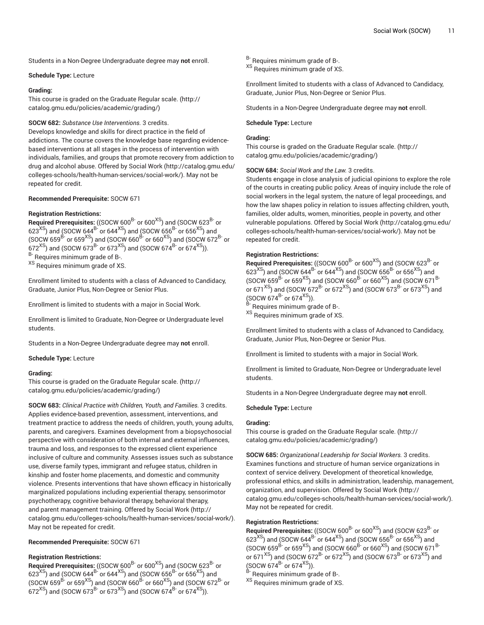Students in a Non-Degree Undergraduate degree may **not** enroll.

#### **Schedule Type:** Lecture

#### **Grading:**

This course is graded on the [Graduate Regular scale.](http://catalog.gmu.edu/policies/academic/grading/) [\(http://](http://catalog.gmu.edu/policies/academic/grading/) [catalog.gmu.edu/policies/academic/grading/\)](http://catalog.gmu.edu/policies/academic/grading/)

## **SOCW 682:** *Substance Use Interventions.* 3 credits.

Develops knowledge and skills for direct practice in the field of addictions. The course covers the knowledge base regarding evidencebased interventions at all stages in the process of intervention with individuals, families, and groups that promote recovery from addiction to drug and alcohol abuse. Offered by [Social](http://catalog.gmu.edu/colleges-schools/health-human-services/social-work/) Work [\(http://catalog.gmu.edu/](http://catalog.gmu.edu/colleges-schools/health-human-services/social-work/) [colleges-schools/health-human-services/social-work/](http://catalog.gmu.edu/colleges-schools/health-human-services/social-work/)). May not be repeated for credit.

## **Recommended Prerequisite:** SOCW 671

## **Registration Restrictions:**

**Required Prerequisites:** ((SOCW 600<sup>B-</sup> or 600<sup>XS</sup>) and (SOCW 623<sup>B-</sup> or 623 $^{\rm XS}$ ) and (SOCW 644 $^{\rm B}$ - or 644 $^{\rm XS}$ ) and (SOCW 656 $^{\rm B}$ - or 656 $^{\rm XS}$ ) and (SOCW 659 $^\mathrm{B-}$  or 659 $^\mathrm{XS}$ ) and (SOCW 660 $^\mathrm{B-}$  or 660 $^\mathrm{XS}$ ) and (SOCW 672 $^\mathrm{B-}$  or  $672^{\mathrm{XS}}$ ) and (SOCW 673 $^{\mathrm{B}}$  or 673 $^{\mathrm{XS}}$ ) and (SOCW 674 $^{\mathrm{B}}$  or 674 $^{\mathrm{XS}}$ )). B- Requires minimum grade of B-.

XS Requires minimum grade of XS.

Enrollment limited to students with a class of Advanced to Candidacy, Graduate, Junior Plus, Non-Degree or Senior Plus.

Enrollment is limited to students with a major in Social Work.

Enrollment is limited to Graduate, Non-Degree or Undergraduate level students.

Students in a Non-Degree Undergraduate degree may **not** enroll.

**Schedule Type:** Lecture

## **Grading:**

This course is graded on the [Graduate Regular scale.](http://catalog.gmu.edu/policies/academic/grading/) [\(http://](http://catalog.gmu.edu/policies/academic/grading/) [catalog.gmu.edu/policies/academic/grading/\)](http://catalog.gmu.edu/policies/academic/grading/)

**SOCW 683:** *Clinical Practice with Children, Youth, and Families.* 3 credits. Applies evidence-based prevention, assessment, interventions, and treatment practice to address the needs of children, youth, young adults, parents, and caregivers. Examines development from a biopsychosocial perspective with consideration of both internal and external influences, trauma and loss, and responses to the expressed client experience inclusive of culture and community. Assesses issues such as substance use, diverse family types, immigrant and refugee status, children in kinship and foster home placements, and domestic and community violence. Presents interventions that have shown efficacy in historically marginalized populations including experiential therapy, sensorimotor psychotherapy, cognitive behavioral therapy, behavioral therapy, and parent management training. Offered by [Social](http://catalog.gmu.edu/colleges-schools/health-human-services/social-work/) Work ([http://](http://catalog.gmu.edu/colleges-schools/health-human-services/social-work/) [catalog.gmu.edu/colleges-schools/health-human-services/social-work/\)](http://catalog.gmu.edu/colleges-schools/health-human-services/social-work/). May not be repeated for credit.

## **Recommended Prerequisite:** SOCW 671

## **Registration Restrictions:**

**Required Prerequisites:** ((SOCW 600<sup>B-</sup> or 600<sup>XS</sup>) and (SOCW 623<sup>B-</sup> or 623 $^{\rm XS}$ ) and (SOCW 644 $^{\rm B}$ - or 644 $^{\rm XS}$ ) and (SOCW 656 $^{\rm B}$ - or 656 $^{\rm XS}$ ) and (SOCW 659 $^\mathrm{B-}$  or 659 $^\mathrm{XS}$ ) and (SOCW 660 $^\mathrm{B-}$  or 660 $^\mathrm{XS}$ ) and (SOCW 672 $^\mathrm{B-}$  or  $672^{\mathrm{XS}}$ ) and (SOCW 673 $^{\mathrm{B}}$  or 673 $^{\mathrm{XS}}$ ) and (SOCW 674 $^{\mathrm{B}}$  or 674 $^{\mathrm{XS}}$ )).

B- Requires minimum grade of B-.

XS Requires minimum grade of XS.

Enrollment limited to students with a class of Advanced to Candidacy, Graduate, Junior Plus, Non-Degree or Senior Plus.

Students in a Non-Degree Undergraduate degree may **not** enroll.

#### **Schedule Type:** Lecture

## **Grading:**

This course is graded on the [Graduate Regular scale.](http://catalog.gmu.edu/policies/academic/grading/) ([http://](http://catalog.gmu.edu/policies/academic/grading/) [catalog.gmu.edu/policies/academic/grading/](http://catalog.gmu.edu/policies/academic/grading/))

## **SOCW 684:** *Social Work and the Law.* 3 credits.

Students engage in close analysis of judicial opinions to explore the role of the courts in creating public policy. Areas of inquiry include the role of social workers in the legal system, the nature of legal proceedings, and how the law shapes policy in relation to issues affecting children, youth, families, older adults, women, minorities, people in poverty, and other vulnerable populations. Offered by [Social](http://catalog.gmu.edu/colleges-schools/health-human-services/social-work/) Work [\(http://catalog.gmu.edu/](http://catalog.gmu.edu/colleges-schools/health-human-services/social-work/) [colleges-schools/health-human-services/social-work/](http://catalog.gmu.edu/colleges-schools/health-human-services/social-work/)). May not be repeated for credit.

## **Registration Restrictions:**

**Required Prerequisites:** ((SOCW 600<sup>B-</sup> or 600<sup>XS</sup>) and (SOCW 623<sup>B-</sup> or  $623^{\mathrm{XS}}$ ) and (SOCW 644 $^\mathrm{B-}$  or 644 $^\mathrm{XS}$ ) and (SOCW 656 $^\mathrm{B-}$  or 656 $^\mathrm{XS}$ ) and (SOCW 659 $^\mathrm{B-}$  or 659 $^\mathrm{XS}$ ) and (SOCW 660 $^\mathrm{B-}$  or 660 $^\mathrm{XS}$ ) and (SOCW 671 $^\mathrm{B-}$ or 671<sup>XS</sup>) and (SOCW 672<sup>B-</sup> or 672<sup>XS</sup>) and (SOCW 673<sup>B-</sup> or 673<sup>XS</sup>) and  $(SOCW 674^{B}~or 674^{XS})$ ).

<sup>B-</sup> Requires minimum grade of B-.

XS Requires minimum grade of XS.

Enrollment limited to students with a class of Advanced to Candidacy, Graduate, Junior Plus, Non-Degree or Senior Plus.

Enrollment is limited to students with a major in Social Work.

Enrollment is limited to Graduate, Non-Degree or Undergraduate level students.

Students in a Non-Degree Undergraduate degree may **not** enroll.

**Schedule Type:** Lecture

## **Grading:**

This course is graded on the [Graduate Regular scale.](http://catalog.gmu.edu/policies/academic/grading/) ([http://](http://catalog.gmu.edu/policies/academic/grading/) [catalog.gmu.edu/policies/academic/grading/](http://catalog.gmu.edu/policies/academic/grading/))

**SOCW 685:** *Organizational Leadership for Social Workers.* 3 credits. Examines functions and structure of human service organizations in context of service delivery. Development of theoretical knowledge, professional ethics, and skills in administration, leadership, management, organization, and supervision. Offered by [Social](http://catalog.gmu.edu/colleges-schools/health-human-services/social-work/) Work [\(http://](http://catalog.gmu.edu/colleges-schools/health-human-services/social-work/) [catalog.gmu.edu/colleges-schools/health-human-services/social-work/](http://catalog.gmu.edu/colleges-schools/health-human-services/social-work/)). May not be repeated for credit.

## **Registration Restrictions:**

**Required Prerequisites:** ((SOCW 600<sup>B-</sup> or 600<sup>XS</sup>) and (SOCW 623<sup>B-</sup> or  $623^{\mathrm{XS}}$ ) and (SOCW 644 $^\mathrm{B-}$  or 644 $^\mathrm{XS}$ ) and (SOCW 656 $^\mathrm{B-}$  or 656 $^\mathrm{XS}$ ) and (SOCW 659 $^\mathrm{B-}$  or 659 $^\mathrm{XS}$ ) and (SOCW 660 $^\mathrm{B-}$  or 660 $^\mathrm{XS}$ ) and (SOCW 671 $^\mathrm{B-}$ or 671<sup>XS</sup>) and (SOCW 672<sup>B-</sup> or 672<sup>XS</sup>) and (SOCW 673<sup>B-</sup> or 673<sup>XS</sup>) and  $(SOCW 674^{B} \text{ or } 674^{XS})$ ).

B- Requires minimum grade of B-.

XS Requires minimum grade of XS.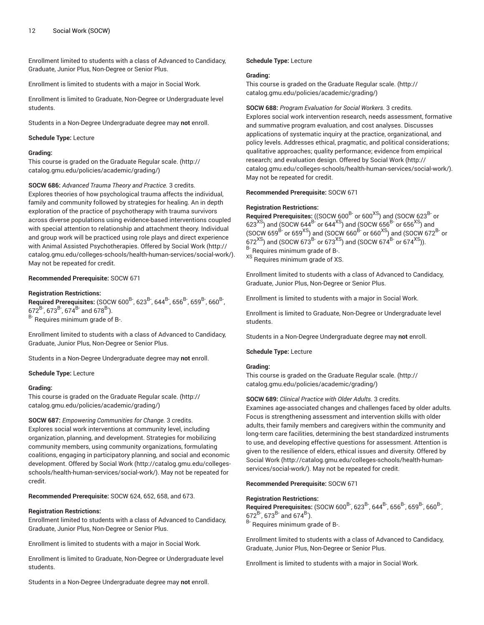Enrollment limited to students with a class of Advanced to Candidacy, Graduate, Junior Plus, Non-Degree or Senior Plus.

Enrollment is limited to students with a major in Social Work.

Enrollment is limited to Graduate, Non-Degree or Undergraduate level students.

Students in a Non-Degree Undergraduate degree may **not** enroll.

#### **Schedule Type:** Lecture

#### **Grading:**

This course is graded on the [Graduate Regular scale.](http://catalog.gmu.edu/policies/academic/grading/) [\(http://](http://catalog.gmu.edu/policies/academic/grading/) [catalog.gmu.edu/policies/academic/grading/\)](http://catalog.gmu.edu/policies/academic/grading/)

**SOCW 686:** *Advanced Trauma Theory and Practice.* 3 credits. Explores theories of how psychological trauma affects the individual, family and community followed by strategies for healing. An in depth exploration of the practice of psychotherapy with trauma survivors across diverse populations using evidence-based interventions coupled with special attention to relationship and attachment theory. Individual and group work will be practiced using role plays and direct experience with Animal Assisted Psychotherapies. Offered by [Social](http://catalog.gmu.edu/colleges-schools/health-human-services/social-work/) Work [\(http://](http://catalog.gmu.edu/colleges-schools/health-human-services/social-work/) [catalog.gmu.edu/colleges-schools/health-human-services/social-work/\)](http://catalog.gmu.edu/colleges-schools/health-human-services/social-work/). May not be repeated for credit.

## **Recommended Prerequisite:** SOCW 671

## **Registration Restrictions:**

**Required Prerequisites:** (SOCW 600<sup>B-</sup>, 623<sup>B-</sup>, 644<sup>B-</sup>, 656<sup>B-</sup>, 659<sup>B-</sup>, 660<sup>B-</sup>, ,  $672^{B}$ ,  $673^{B}$ ,  $674^{B}$  and  $678^{B}$ ). B- Requires minimum grade of B-.

Enrollment limited to students with a class of Advanced to Candidacy, Graduate, Junior Plus, Non-Degree or Senior Plus.

Students in a Non-Degree Undergraduate degree may **not** enroll.

**Schedule Type:** Lecture

#### **Grading:**

This course is graded on the [Graduate Regular scale.](http://catalog.gmu.edu/policies/academic/grading/) [\(http://](http://catalog.gmu.edu/policies/academic/grading/) [catalog.gmu.edu/policies/academic/grading/\)](http://catalog.gmu.edu/policies/academic/grading/)

**SOCW 687:** *Empowering Communities for Change.* 3 credits.

Explores social work interventions at community level, including organization, planning, and development. Strategies for mobilizing community members, using community organizations, formulating coalitions, engaging in participatory planning, and social and economic development. Offered by [Social](http://catalog.gmu.edu/colleges-schools/health-human-services/social-work/) Work ([http://catalog.gmu.edu/colleges](http://catalog.gmu.edu/colleges-schools/health-human-services/social-work/)[schools/health-human-services/social-work/\)](http://catalog.gmu.edu/colleges-schools/health-human-services/social-work/). May not be repeated for credit.

**Recommended Prerequisite:** SOCW 624, 652, 658, and 673.

#### **Registration Restrictions:**

Enrollment limited to students with a class of Advanced to Candidacy, Graduate, Junior Plus, Non-Degree or Senior Plus.

Enrollment is limited to students with a major in Social Work.

Enrollment is limited to Graduate, Non-Degree or Undergraduate level students.

Students in a Non-Degree Undergraduate degree may **not** enroll.

## **Schedule Type:** Lecture

#### **Grading:**

This course is graded on the [Graduate Regular scale.](http://catalog.gmu.edu/policies/academic/grading/) ([http://](http://catalog.gmu.edu/policies/academic/grading/) [catalog.gmu.edu/policies/academic/grading/](http://catalog.gmu.edu/policies/academic/grading/))

#### **SOCW 688:** *Program Evaluation for Social Workers.* 3 credits.

Explores social work intervention research, needs assessment, formative and summative program evaluation, and cost analyses. Discusses applications of systematic inquiry at the practice, organizational, and policy levels. Addresses ethical, pragmatic, and political considerations; qualitative approaches; quality performance; evidence from empirical research; and evaluation design. Offered by [Social](http://catalog.gmu.edu/colleges-schools/health-human-services/social-work/) Work ([http://](http://catalog.gmu.edu/colleges-schools/health-human-services/social-work/) [catalog.gmu.edu/colleges-schools/health-human-services/social-work/](http://catalog.gmu.edu/colleges-schools/health-human-services/social-work/)). May not be repeated for credit.

**Recommended Prerequisite:** SOCW 671

#### **Registration Restrictions:**

**Required Prerequisites:** ((SOCW 600<sup>B-</sup> or 600<sup>XS</sup>) and (SOCW 623<sup>B-</sup> or  $623^{\mathrm{XS}}$ ) and (SOCW 644 $^\mathrm{B-}$  or 644 $^\mathrm{XS}$ ) and (SOCW 656 $^\mathrm{B-}$  or 656 $^\mathrm{XS}$ ) and (SOCW 659 $^\mathrm{B-}$  or 659 $^\mathrm{XS}$ ) and (SOCW 660 $^\mathrm{B-}$  or 660 $^\mathrm{XS}$ ) and (SOCW 672 $^\mathrm{B-}$  or  $(620 \times 10^{13} \text{ m})$  and  $(60 \times 10^{13} \text{ m})$  and  $(60 \times 10^{18} \text{ m})$  and  $(60 \times 10^{14} \text{ m})$ . B- Requires minimum grade of B-. <sup>XS</sup> Requires minimum grade of XS.

Enrollment limited to students with a class of Advanced to Candidacy, Graduate, Junior Plus, Non-Degree or Senior Plus.

Enrollment is limited to students with a major in Social Work.

Enrollment is limited to Graduate, Non-Degree or Undergraduate level students.

Students in a Non-Degree Undergraduate degree may **not** enroll.

**Schedule Type:** Lecture

## **Grading:**

This course is graded on the [Graduate Regular scale.](http://catalog.gmu.edu/policies/academic/grading/) ([http://](http://catalog.gmu.edu/policies/academic/grading/) [catalog.gmu.edu/policies/academic/grading/](http://catalog.gmu.edu/policies/academic/grading/))

## **SOCW 689:** *Clinical Practice with Older Adults.* 3 credits.

Examines age-associated changes and challenges faced by older adults. Focus is strengthening assessment and intervention skills with older adults, their family members and caregivers within the community and long-term care facilities, determining the best standardized instruments to use, and developing effective questions for assessment. Attention is given to the resilience of elders, ethical issues and diversity. Offered by [Social](http://catalog.gmu.edu/colleges-schools/health-human-services/social-work/) Work ([http://catalog.gmu.edu/colleges-schools/health-human](http://catalog.gmu.edu/colleges-schools/health-human-services/social-work/)[services/social-work/\)](http://catalog.gmu.edu/colleges-schools/health-human-services/social-work/). May not be repeated for credit.

#### **Recommended Prerequisite:** SOCW 671

## **Registration Restrictions:**

**Required Prerequisites:** (SOCW 600<sup>B-</sup>, 623<sup>B-</sup>, 644<sup>B-</sup>, 656<sup>B-</sup>, 659<sup>B-</sup>, 660<sup>B-</sup>, ,  $672^{B}$ ,  $673^{B}$  and  $674^{B}$ ). B- Requires minimum grade of B-.

Enrollment limited to students with a class of Advanced to Candidacy, Graduate, Junior Plus, Non-Degree or Senior Plus.

Enrollment is limited to students with a major in Social Work.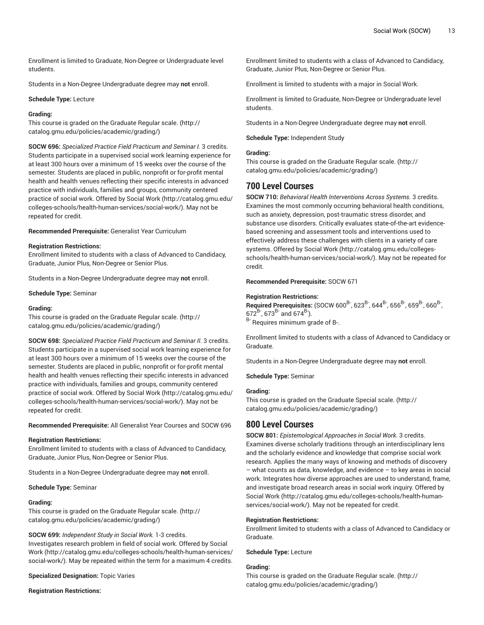Enrollment is limited to Graduate, Non-Degree or Undergraduate level students.

Students in a Non-Degree Undergraduate degree may **not** enroll.

#### **Schedule Type:** Lecture

#### **Grading:**

This course is graded on the [Graduate Regular scale.](http://catalog.gmu.edu/policies/academic/grading/) [\(http://](http://catalog.gmu.edu/policies/academic/grading/) [catalog.gmu.edu/policies/academic/grading/\)](http://catalog.gmu.edu/policies/academic/grading/)

**SOCW 696:** *Specialized Practice Field Practicum and Seminar I.* 3 credits. Students participate in a supervised social work learning experience for at least 300 hours over a minimum of 15 weeks over the course of the semester. Students are placed in public, nonprofit or for-profit mental health and health venues reflecting their specific interests in advanced practice with individuals, families and groups, community centered practice of social work. Offered by [Social](http://catalog.gmu.edu/colleges-schools/health-human-services/social-work/) Work [\(http://catalog.gmu.edu/](http://catalog.gmu.edu/colleges-schools/health-human-services/social-work/) [colleges-schools/health-human-services/social-work/](http://catalog.gmu.edu/colleges-schools/health-human-services/social-work/)). May not be repeated for credit.

**Recommended Prerequisite:** Generalist Year Curriculum

#### **Registration Restrictions:**

Enrollment limited to students with a class of Advanced to Candidacy, Graduate, Junior Plus, Non-Degree or Senior Plus.

Students in a Non-Degree Undergraduate degree may **not** enroll.

**Schedule Type:** Seminar

#### **Grading:**

This course is graded on the [Graduate Regular scale.](http://catalog.gmu.edu/policies/academic/grading/) [\(http://](http://catalog.gmu.edu/policies/academic/grading/) [catalog.gmu.edu/policies/academic/grading/\)](http://catalog.gmu.edu/policies/academic/grading/)

**SOCW 698:** *Specialized Practice Field Practicum and Seminar II.* 3 credits. Students participate in a supervised social work learning experience for at least 300 hours over a minimum of 15 weeks over the course of the semester. Students are placed in public, nonprofit or for-profit mental health and health venues reflecting their specific interests in advanced practice with individuals, families and groups, community centered practice of social work. Offered by [Social](http://catalog.gmu.edu/colleges-schools/health-human-services/social-work/) Work [\(http://catalog.gmu.edu/](http://catalog.gmu.edu/colleges-schools/health-human-services/social-work/) [colleges-schools/health-human-services/social-work/](http://catalog.gmu.edu/colleges-schools/health-human-services/social-work/)). May not be repeated for credit.

**Recommended Prerequisite:** All Generalist Year Courses and SOCW 696

#### **Registration Restrictions:**

Enrollment limited to students with a class of Advanced to Candidacy, Graduate, Junior Plus, Non-Degree or Senior Plus.

Students in a Non-Degree Undergraduate degree may **not** enroll.

#### **Schedule Type:** Seminar

## **Grading:**

This course is graded on the [Graduate Regular scale.](http://catalog.gmu.edu/policies/academic/grading/) [\(http://](http://catalog.gmu.edu/policies/academic/grading/) [catalog.gmu.edu/policies/academic/grading/\)](http://catalog.gmu.edu/policies/academic/grading/)

**SOCW 699:** *Independent Study in Social Work.* 1-3 credits.

Investigates research problem in field of social work. Offered by [Social](http://catalog.gmu.edu/colleges-schools/health-human-services/social-work/) [Work](http://catalog.gmu.edu/colleges-schools/health-human-services/social-work/) ([http://catalog.gmu.edu/colleges-schools/health-human-services/](http://catalog.gmu.edu/colleges-schools/health-human-services/social-work/) [social-work/](http://catalog.gmu.edu/colleges-schools/health-human-services/social-work/)). May be repeated within the term for a maximum 4 credits.

**Specialized Designation:** Topic Varies

**Registration Restrictions:**

Enrollment limited to students with a class of Advanced to Candidacy, Graduate, Junior Plus, Non-Degree or Senior Plus.

Enrollment is limited to students with a major in Social Work.

Enrollment is limited to Graduate, Non-Degree or Undergraduate level students.

Students in a Non-Degree Undergraduate degree may **not** enroll.

**Schedule Type:** Independent Study

## **Grading:**

This course is graded on the [Graduate Regular scale.](http://catalog.gmu.edu/policies/academic/grading/) ([http://](http://catalog.gmu.edu/policies/academic/grading/) [catalog.gmu.edu/policies/academic/grading/](http://catalog.gmu.edu/policies/academic/grading/))

# **700 Level Courses**

**SOCW 710:** *Behavioral Health Interventions Across Systems.* 3 credits. Examines the most commonly occurring behavioral health conditions, such as anxiety, depression, post-traumatic stress disorder, and substance use disorders. Critically evaluates state-of-the-art evidencebased screening and assessment tools and interventions used to effectively address these challenges with clients in a variety of care systems. Offered by [Social](http://catalog.gmu.edu/colleges-schools/health-human-services/social-work/) Work [\(http://catalog.gmu.edu/colleges](http://catalog.gmu.edu/colleges-schools/health-human-services/social-work/)[schools/health-human-services/social-work/](http://catalog.gmu.edu/colleges-schools/health-human-services/social-work/)). May not be repeated for credit.

#### **Recommended Prerequisite:** SOCW 671

#### **Registration Restrictions:**

**Required Prerequisites:** (SOCW 600<sup>B-</sup>, 623<sup>B-</sup>, 644<sup>B-</sup>, 656<sup>B-</sup>, 659<sup>B-</sup>, 660<sup>B-</sup>. ,  $672^{B}$ ,  $673^{B}$  and  $674^{B}$ ). <sup>B-</sup> Requires minimum grade of B-.

Enrollment limited to students with a class of Advanced to Candidacy or Graduate.

Students in a Non-Degree Undergraduate degree may **not** enroll.

**Schedule Type:** Seminar

## **Grading:**

This course is graded on the [Graduate Special scale. \(http://](http://catalog.gmu.edu/policies/academic/grading/) [catalog.gmu.edu/policies/academic/grading/](http://catalog.gmu.edu/policies/academic/grading/))

# **800 Level Courses**

**SOCW 801:** *Epistemological Approaches in Social Work.* 3 credits. Examines diverse scholarly traditions through an interdisciplinary lens and the scholarly evidence and knowledge that comprise social work research. Applies the many ways of knowing and methods of discovery – what counts as data, knowledge, and evidence – to key areas in social work. Integrates how diverse approaches are used to understand, frame, and investigate broad research areas in social work inquiry. Offered by [Social](http://catalog.gmu.edu/colleges-schools/health-human-services/social-work/) Work ([http://catalog.gmu.edu/colleges-schools/health-human](http://catalog.gmu.edu/colleges-schools/health-human-services/social-work/)[services/social-work/\)](http://catalog.gmu.edu/colleges-schools/health-human-services/social-work/). May not be repeated for credit.

## **Registration Restrictions:**

Enrollment limited to students with a class of Advanced to Candidacy or Graduate.

**Schedule Type:** Lecture

#### **Grading:**

This course is graded on the [Graduate Regular scale.](http://catalog.gmu.edu/policies/academic/grading/) ([http://](http://catalog.gmu.edu/policies/academic/grading/) [catalog.gmu.edu/policies/academic/grading/](http://catalog.gmu.edu/policies/academic/grading/))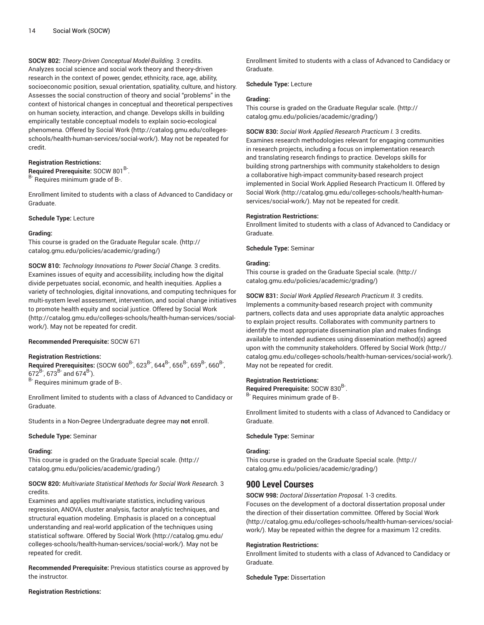**SOCW 802:** *Theory-Driven Conceptual Model-Building.* 3 credits. Analyzes social science and social work theory and theory-driven research in the context of power, gender, ethnicity, race, age, ability, socioeconomic position, sexual orientation, spatiality, culture, and history. Assesses the social construction of theory and social "problems" in the context of historical changes in conceptual and theoretical perspectives on human society, interaction, and change. Develops skills in building empirically testable conceptual models to explain socio-ecological phenomena. Offered by [Social](http://catalog.gmu.edu/colleges-schools/health-human-services/social-work/) Work ([http://catalog.gmu.edu/colleges](http://catalog.gmu.edu/colleges-schools/health-human-services/social-work/)[schools/health-human-services/social-work/\)](http://catalog.gmu.edu/colleges-schools/health-human-services/social-work/). May not be repeated for credit.

## **Registration Restrictions:**

Required Prerequisite: SOCW 801<sup>B-</sup>.

B- Requires minimum grade of B-.

Enrollment limited to students with a class of Advanced to Candidacy or Graduate.

#### **Schedule Type:** Lecture

#### **Grading:**

This course is graded on the [Graduate Regular scale.](http://catalog.gmu.edu/policies/academic/grading/) [\(http://](http://catalog.gmu.edu/policies/academic/grading/) [catalog.gmu.edu/policies/academic/grading/\)](http://catalog.gmu.edu/policies/academic/grading/)

**SOCW 810:** *Technology Innovations to Power Social Change.* 3 credits. Examines issues of equity and accessibility, including how the digital divide perpetuates social, economic, and health inequities. Applies a variety of technologies, digital innovations, and computing techniques for multi-system level assessment, intervention, and social change initiatives to promote health equity and social justice. Offered by [Social](http://catalog.gmu.edu/colleges-schools/health-human-services/social-work/) Work ([http://catalog.gmu.edu/colleges-schools/health-human-services/social](http://catalog.gmu.edu/colleges-schools/health-human-services/social-work/)[work/\)](http://catalog.gmu.edu/colleges-schools/health-human-services/social-work/). May not be repeated for credit.

## **Recommended Prerequisite:** SOCW 671

#### **Registration Restrictions:**

**Required Prerequisites:** (SOCW 600<sup>B-</sup>, 623<sup>B-</sup>, 644<sup>B-</sup>, 656<sup>B-</sup>, 659<sup>B-</sup>, 660<sup>B-</sup>, ,  $672^B$ ,  $673^B$  and  $674^B$ ).

B- Requires minimum grade of B-.

Enrollment limited to students with a class of Advanced to Candidacy or Graduate.

Students in a Non-Degree Undergraduate degree may **not** enroll.

#### **Schedule Type:** Seminar

#### **Grading:**

This course is graded on the [Graduate Special scale.](http://catalog.gmu.edu/policies/academic/grading/) ([http://](http://catalog.gmu.edu/policies/academic/grading/) [catalog.gmu.edu/policies/academic/grading/\)](http://catalog.gmu.edu/policies/academic/grading/)

## **SOCW 820:** *Multivariate Statistical Methods for Social Work Research.* 3 credits.

Examines and applies multivariate statistics, including various regression, ANOVA, cluster analysis, factor analytic techniques, and structural equation modeling. Emphasis is placed on a conceptual understanding and real-world application of the techniques using statistical software. Offered by [Social](http://catalog.gmu.edu/colleges-schools/health-human-services/social-work/) Work [\(http://catalog.gmu.edu/](http://catalog.gmu.edu/colleges-schools/health-human-services/social-work/) [colleges-schools/health-human-services/social-work/](http://catalog.gmu.edu/colleges-schools/health-human-services/social-work/)). May not be repeated for credit.

**Recommended Prerequisite:** Previous statistics course as approved by the instructor.

#### **Registration Restrictions:**

Enrollment limited to students with a class of Advanced to Candidacy or Graduate.

## **Schedule Type:** Lecture

#### **Grading:**

This course is graded on the [Graduate Regular scale.](http://catalog.gmu.edu/policies/academic/grading/) ([http://](http://catalog.gmu.edu/policies/academic/grading/) [catalog.gmu.edu/policies/academic/grading/](http://catalog.gmu.edu/policies/academic/grading/))

**SOCW 830:** *Social Work Applied Research Practicum I.* 3 credits. Examines research methodologies relevant for engaging communities in research projects, including a focus on implementation research and translating research findings to practice. Develops skills for building strong partnerships with community stakeholders to design a collaborative high-impact community-based research project implemented in Social Work Applied Research Practicum II. Offered by [Social](http://catalog.gmu.edu/colleges-schools/health-human-services/social-work/) Work ([http://catalog.gmu.edu/colleges-schools/health-human](http://catalog.gmu.edu/colleges-schools/health-human-services/social-work/)[services/social-work/\)](http://catalog.gmu.edu/colleges-schools/health-human-services/social-work/). May not be repeated for credit.

#### **Registration Restrictions:**

Enrollment limited to students with a class of Advanced to Candidacy or Graduate.

**Schedule Type:** Seminar

## **Grading:**

This course is graded on the [Graduate Special scale. \(http://](http://catalog.gmu.edu/policies/academic/grading/) [catalog.gmu.edu/policies/academic/grading/](http://catalog.gmu.edu/policies/academic/grading/))

**SOCW 831:** *Social Work Applied Research Practicum II.* 3 credits. Implements a community-based research project with community partners, collects data and uses appropriate data analytic approaches to explain project results. Collaborates with community partners to identify the most appropriate dissemination plan and makes findings available to intended audiences using dissemination method(s) agreed upon with the community stakeholders. Offered by [Social](http://catalog.gmu.edu/colleges-schools/health-human-services/social-work/) Work ([http://](http://catalog.gmu.edu/colleges-schools/health-human-services/social-work/) [catalog.gmu.edu/colleges-schools/health-human-services/social-work/](http://catalog.gmu.edu/colleges-schools/health-human-services/social-work/)). May not be repeated for credit.

## **Registration Restrictions:**

Required Prerequisite: SOCW 830<sup>B-</sup>. <sup>B-</sup> Requires minimum grade of B-.

Enrollment limited to students with a class of Advanced to Candidacy or Graduate.

#### **Schedule Type:** Seminar

#### **Grading:**

This course is graded on the [Graduate Special scale. \(http://](http://catalog.gmu.edu/policies/academic/grading/) [catalog.gmu.edu/policies/academic/grading/](http://catalog.gmu.edu/policies/academic/grading/))

# **900 Level Courses**

**SOCW 998:** *Doctoral Dissertation Proposal.* 1-3 credits.

Focuses on the development of a doctoral dissertation proposal under the direction of their dissertation committee. Offered by [Social](http://catalog.gmu.edu/colleges-schools/health-human-services/social-work/) Work [\(http://catalog.gmu.edu/colleges-schools/health-human-services/social](http://catalog.gmu.edu/colleges-schools/health-human-services/social-work/)[work/](http://catalog.gmu.edu/colleges-schools/health-human-services/social-work/)). May be repeated within the degree for a maximum 12 credits.

#### **Registration Restrictions:**

Enrollment limited to students with a class of Advanced to Candidacy or Graduate.

**Schedule Type:** Dissertation